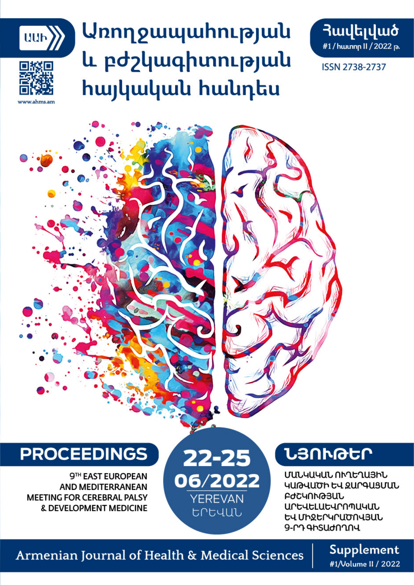

# <u> **Առողջապա**իությա</u>ն և բժշկագիտության **h**այկական hանդես



**ISSN 2738-2737** 

**PROCEEDINGS** 

9TH EAST EUROPEAN **AND MEDITERRANEAN MEETING FOR CEREBRAL PALSY** & DEVELOPMENT MEDICINE

22-25 06/2022 **YEREVAN** trtuul

# ႮႫႶჁႧႠႶ

ՄԱՆԿԱԿԱՆ ՈՒՂԵՂԱՅԻՆ ԿԱԹՎԱԾԻ ԵՎ ԶԱՐԳԱՑՄԱՆ **ԲԺՇԿՈՒԹՅԱՆ** ԱՐԵՎԵԼԱԵՎՐՈՊԱԿԱՆ ԵՎ ՄԻՋԵՐԿՐԱԾՈՎՅԱՆ 9-ՐԴ ԳԻՏԱԺՈՂՈՎ

## Armenian Journal of Health & Medical Sciences

Supplement #1/Volume II / 2022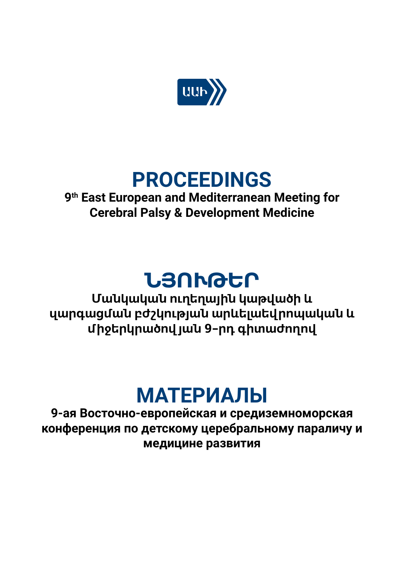

# **PROCEEDINGS**

## **9th East European and Mediterranean Meeting for Cerebral Palsy & Development Medicine**

# **ՆՅՈՒԹԵՐ**

**Մանկական ուղեղային կաթվածի և զարգացման բժշկության արևելաեվրոպական և միջերկրածով յան 9-րդ գիտաժողով**

# **МАТЕРИАЛЫ**

**9-ая Восточно-европейская и средиземноморская конференция по детскому церебральному параличу и медицине развития**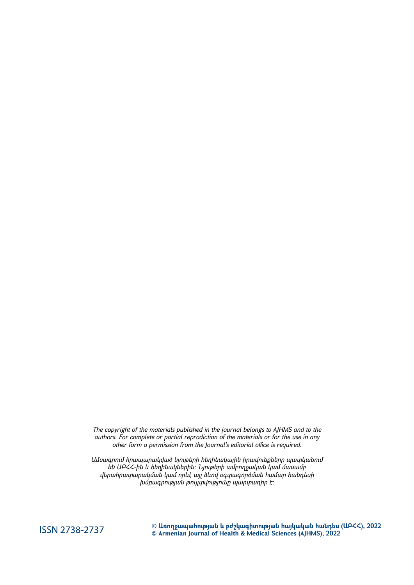*The copyright of the materials published in the journal belongs to AJHMS and to the authors. For complete or partial reprodiction of the materials or for the use in any other form a permission from the Journal's editorial office is required.*

*Ամսագրում հրապարակված նյութերի հեղինակային իրավունքները պատկանում են ԱԲՀՀ-ին և հեղինակներին: Նյութերի ամբողջական կամ մասամբ վերահրատարակման կամ որևէ այլ ձևով օգտագործման համար հանդեսի խմբագրության թույլտվությունը պարտադիր է:*

**ISSN 2738-2737** 

**© Առողջապահության և բժշկագիտության հայկական հանդես (ԱԲՀՀ), 2022 © Armenian Journal of Health & Medical Sciences (AJHMS), 2022**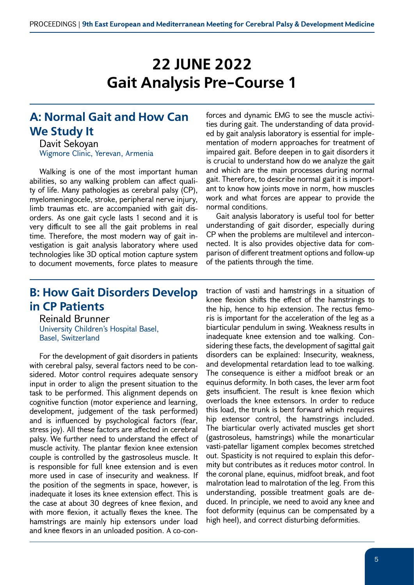# **22 JUNE 2022 Gait Analysis Pre-Course 1**

#### **A: Normal Gait and How Can We Study It**

Davit Sekoyan Wigmore Clinic, Yerevan, Armenia

Walking is one of the most important human abilities, so any walking problem can affect quality of life. Many pathologies as cerebral palsy (CP), myelomeningocele, stroke, peripheral nerve injury, limb traumas etc. are accompanied with gait disorders. As one gait cycle lasts 1 second and it is very difficult to see all the gait problems in real time. Therefore, the most modern way of gait investigation is gait analysis laboratory where used technologies like 3D optical motion capture system to document movements, force plates to measure forces and dynamic EMG to see the muscle activities during gait. The understanding of data provided by gait analysis laboratory is essential for implementation of modern approaches for treatment of impaired gait. Before deepen in to gait disorders it is crucial to understand how do we analyze the gait and which are the main processes during normal gait. Therefore, to describe normal gait it is important to know how joints move in norm, how muscles work and what forces are appear to provide the normal conditions.

Gait analysis laboratory is useful tool for better understanding of gait disorder, especially during CP when the problems are multilevel and interconnected. It is also provides objective data for comparison of different treatment options and follow-up of the patients through the time.

## **B: How Gait Disorders Develop in CP Patients**

Reinald Brunner University Children's Hospital Basel, Basel, Switzerland

For the development of gait disorders in patients with cerebral palsy, several factors need to be considered. Motor control requires adequate sensory input in order to align the present situation to the task to be performed. This alignment depends on cognitive function (motor experience and learning, development, judgement of the task performed) and is influenced by psychological factors (fear, stress joy). All these factors are affected in cerebral palsy. We further need to understand the effect of muscle activity. The plantar flexion knee extension couple is controlled by the gastrosoleus muscle. It is responsible for full knee extension and is even more used in case of insecurity and weakness. If the position of the segments in space, however, is inadequate it loses its knee extension effect. This is the case at about 30 degrees of knee flexion, and with more flexion, it actually flexes the knee. The hamstrings are mainly hip extensors under load and knee flexors in an unloaded position. A co-contraction of vasti and hamstrings in a situation of knee flexion shifts the effect of the hamstrings to the hip, hence to hip extension. The rectus femoris is important for the acceleration of the leg as a biarticular pendulum in swing. Weakness results in inadequate knee extension and toe walking. Considering these facts, the development of sagittal gait disorders can be explained: Insecurity, weakness, and developmental retardation lead to toe walking. The consequence is either a midfoot break or an equinus deformity. In both cases, the lever arm foot gets insufficient. The result is knee flexion which overloads the knee extensors. In order to reduce this load, the trunk is bent forward which requires hip extensor control, the hamstrings included. The biarticular overly activated muscles get short (gastrosoleus, hamstrings) while the monarticular vasti-patellar ligament complex becomes stretched out. Spasticity is not required to explain this deformity but contributes as it reduces motor control. In the coronal plane, equinus, midfoot break, and foot malrotation lead to malrotation of the leg. From this understanding, possible treatment goals are deduced. In principle, we need to avoid any knee and foot deformity (equinus can be compensated by a high heel), and correct disturbing deformities.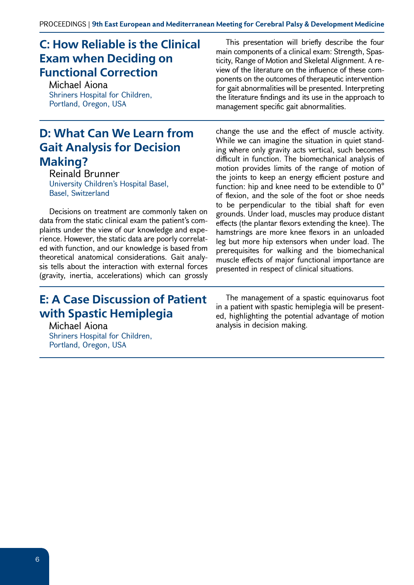## **C: How Reliable is the Clinical Exam when Deciding on Functional Correction**

Michael Aiona Shriners Hospital for Children, Portland, Oregon, USA

#### **D: What Can We Learn from Gait Analysis for Decision Making?**

Reinald Brunner University Children's Hospital Basel, Basel, Switzerland

Decisions on treatment are commonly taken on data from the static clinical exam the patient's complaints under the view of our knowledge and experience. However, the static data are poorly correlated with function, and our knowledge is based from theoretical anatomical considerations. Gait analysis tells about the interaction with external forces (gravity, inertia, accelerations) which can grossly

#### **E: A Case Discussion of Patient with Spastic Hemiplegia**

Michael Aiona Shriners Hospital for Children, Portland, Oregon, USA

This presentation will briefly describe the four main components of a clinical exam: Strength, Spasticity, Range of Motion and Skeletal Alignment. A review of the literature on the influence of these components on the outcomes of therapeutic intervention for gait abnormalities will be presented. Interpreting the literature findings and its use in the approach to management specific gait abnormalities.

change the use and the effect of muscle activity. While we can imagine the situation in quiet standing where only gravity acts vertical, such becomes difficult in function. The biomechanical analysis of motion provides limits of the range of motion of the joints to keep an energy efficient posture and function: hip and knee need to be extendible to 0° of flexion, and the sole of the foot or shoe needs to be perpendicular to the tibial shaft for even grounds. Under load, muscles may produce distant effects (the plantar flexors extending the knee). The hamstrings are more knee flexors in an unloaded leg but more hip extensors when under load. The prerequisites for walking and the biomechanical muscle effects of major functional importance are presented in respect of clinical situations.

The management of a spastic equinovarus foot in a patient with spastic hemiplegia will be presented, highlighting the potential advantage of motion analysis in decision making.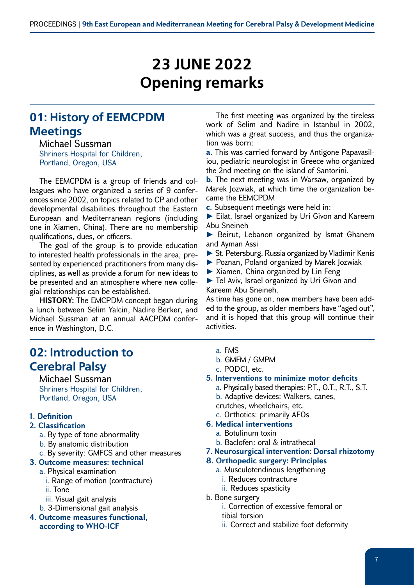# **23 JUNE 2022 Opening remarks**

## **01: History of EEMCPDM Meetings**

Michael Sussman Shriners Hospital for Children, Portland, Oregon, USA

The EEMCPDM is a group of friends and colleagues who have organized a series of 9 conferences since 2002, on topics related to CP and other developmental disabilities throughout the Eastern European and Mediterranean regions (including one in Xiamen, China). There are no membership qualifications, dues, or officers.

The goal of the group is to provide education to interested health professionals in the area, presented by experienced practitioners from many disciplines, as well as provide a forum for new ideas to be presented and an atmosphere where new collegial relationships can be established.

**HISTORY:** The EMCPDM concept began during a lunch between Selim Yalcin, Nadire Berker, and Michael Sussman at an annual AACPDM conference in Washington, D.C.

#### **02: Introduction to Cerebral Palsy**

Michael Sussman Shriners Hospital for Children, Portland, Oregon, USA

#### **1. Definition**

#### **2. Classification**

- a. By type of tone abnormality
- b. By anatomic distribution
- c. By severity: GMFCS and other measures

#### **3. Outcome measures: technical**

- a. Physical examination
	- i. Range of motion (contracture)
	- ii. Tone
	- iii. Visual gait analysis
- b. 3-Dimensional gait analysis
- **4. Outcome measures functional, according to WHO-ICF**

The first meeting was organized by the tireless work of Selim and Nadire in Istanbul in 2002, which was a great success, and thus the organization was born:

**a.** This was carried forward by Antigone Papavasiliou, pediatric neurologist in Greece who organized the 2nd meeting on the island of Santorini.

**b.** The next meeting was in Warsaw, organized by Marek Jozwiak, at which time the organization became the EEMCPDM

**c.** Subsequent meetings were held in:

► Eilat, Israel organized by Uri Givon and Kareem Abu Sneineh

▶ Beirut, Lebanon organized by Ismat Ghanem and Ayman Assi

- ► St. Petersburg, Russia organized by Vladimir Kenis
- ► Poznan, Poland organized by Marek Jozwiak
- ► Xiamen, China organized by Lin Feng

► Tel Aviv, Israel organized by Uri Givon and Kareem Abu Sneineh.

As time has gone on, new members have been added to the group, as older members have "aged out", and it is hoped that this group will continue their activities.

- a. FMS
- b. GMFM / GMPM
- c. PODCI, etc.
- **5. Interventions to minimize motor deficits**
	- a. Physically based therapies: P.T., O.T., R.T., S.T.
	- b. Adaptive devices: Walkers, canes,

crutches, wheelchairs, etc.

- c. Orthotics: primarily AFOs
- **6. Medical interventions**
	- a. Botulinum toxin
	- b. Baclofen: oral & intrathecal
- **7. Neurosurgical intervention: Dorsal rhizotomy**
- **8. Orthopedic surgery: Principles**
	- a. Musculotendinous lengthening
		- i. Reduces contracture
	- ii. Reduces spasticity
- b. Bone surgery
	- i. Correction of excessive femoral or tibial torsion
	- ii. Correct and stabilize foot deformity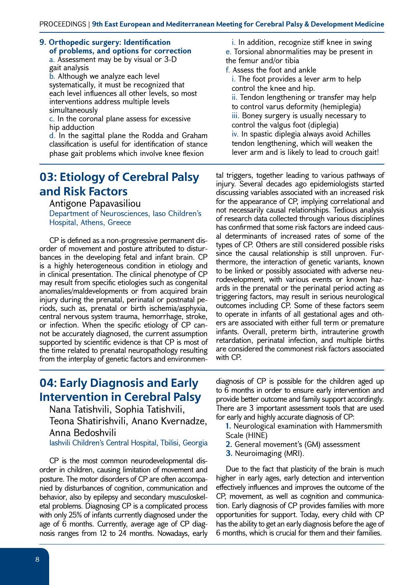**9. Orthopedic surgery: Identification of problems, and options for correction** a. Assessment may be by visual or 3-D gait analysis

b. Although we analyze each level systematically, it must be recognized that each level influences all other levels, so most interventions address multiple levels simultaneously

c. In the coronal plane assess for excessive hip adduction

d. In the sagittal plane the Rodda and Graham classification is useful for identification of stance phase gait problems which involve knee flexion

#### **03: Etiology of Cerebral Palsy and Risk Factors**

Antigone Papavasiliou

Department of Neurosciences, Iaso Children's Hospital, Athens, Greece

CP is defined as a non-progressive permanent disorder of movement and posture attributed to disturbances in the developing fetal and infant brain. CP is a highly heterogeneous condition in etiology and in clinical presentation. The clinical phenotype of CP may result from specific etiologies such as congenital anomalies/maldevelopments or from acquired brain injury during the prenatal, perinatal or postnatal periods, such as, prenatal or birth ischemia/asphyxia, central nervous system trauma, hemorrhage, stroke, or infection. When the specific etiology of CP cannot be accurately diagnosed, the current assumption supported by scientific evidence is that CP is most of the time related to prenatal neuropathology resulting from the interplay of genetic factors and environmen-

i. In addition, recognize stiff knee in swing e. Torsional abnormalities may be present in the femur and/or tibia f. Assess the foot and ankle i. The foot provides a lever arm to help

control the knee and hip. ii. Tendon lengthening or transfer may help to control varus deformity (hemiplegia) iii. Boney surgery is usually necessary to control the valgus foot (diplegia) iv. In spastic diplegia always avoid Achilles tendon lengthening, which will weaken the lever arm and is likely to lead to crouch gait!

tal triggers, together leading to various pathways of injury. Several decades ago epidemiologists started discussing variables associated with an increased risk for the appearance of CP, implying correlational and not necessarily causal relationships. Tedious analysis of research data collected through various disciplines has confirmed that some risk factors are indeed causal determinants of increased rates of some of the types of CP. Others are still considered possible risks since the causal relationship is still unproven. Furthermore, the interaction of genetic variants, known to be linked or possibly associated with adverse neurodevelopment, with various events or known hazards in the prenatal or the perinatal period acting as triggering factors, may result in serious neurological outcomes including CP. Some of these factors seem to operate in infants of all gestational ages and others are associated with either full term or premature infants. Overall, preterm birth, intrauterine growth retardation, perinatal infection, and multiple births are considered the commonest risk factors associated with CP.

#### **04: Early Diagnosis and Early Intervention in Cerebral Palsy**

Nana Tatishvili, Sophia Tatishvili, Teona Shatirishvili, Anano Kvernadze, Anna Bedoshvili

Iashvili Children's Central Hospital, Tbilisi, Georgia

CP is the most common neurodevelopmental disorder in children, causing limitation of movement and posture. The motor disorders of CP are often accompanied by disturbances of cognition, communication and behavior, also by epilepsy and secondary musculoskeletal problems. Diagnosing CP is a complicated process with only 25% of infants currently diagnosed under the age of 6 months. Currently, average age of CP diagnosis ranges from 12 to 24 months. Nowadays, early

diagnosis of CP is possible for the children aged up to 6 months in order to ensure early intervention and provide better outcome and family support accordingly. There are 3 important assessment tools that are used for early and highly accurate diagnosis of CP:

- **1.** Neurological examination with Hammersmith Scale (HINE)
- **2.** General movement's (GM) assessment
- **3.** Neuroimaging (MRI).

Due to the fact that plasticity of the brain is much higher in early ages, early detection and intervention effectively influences and improves the outcome of the CP, movement, as well as cognition and communication. Early diagnosis of CP provides families with more opportunities for support. Today, every child with CP has the ability to get an early diagnosis before the age of 6 months, which is crucial for them and their families.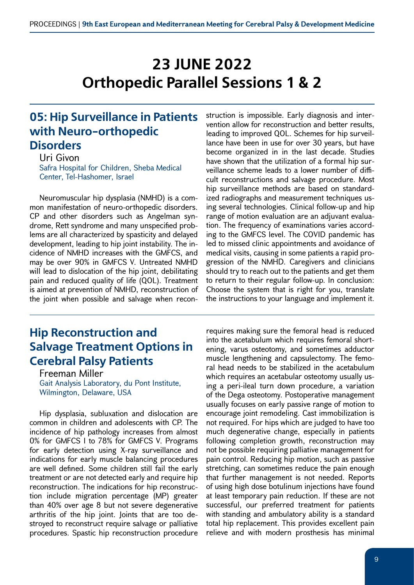# **23 JUNE 2022 Orthopedic Parallel Sessions 1 & 2**

#### **05: Hip Surveillance in Patients with Neuro-orthopedic Disorders**

Uri Givon Safra Hospital for Children, Sheba Medical Center, Tel-Hashomer, Israel

Neuromuscular hip dysplasia (NMHD) is a common manifestation of neuro-orthopedic disorders. CP and other disorders such as Angelman syndrome, Rett syndrome and many unspecified problems are all characterized by spasticity and delayed development, leading to hip joint instability. The incidence of NMHD increases with the GMFCS, and may be over 90% in GMFCS V. Untreated NMHD will lead to dislocation of the hip joint, debilitating pain and reduced quality of life (QOL). Treatment is aimed at prevention of NMHD, reconstruction of the joint when possible and salvage when recon-

## **Hip Reconstruction and Salvage Treatment Options in Cerebral Palsy Patients**

Freeman Miller Gait Analysis Laboratory, du Pont Institute, Wilmington, Delaware, USA

Hip dysplasia, subluxation and dislocation are common in children and adolescents with CP. The incidence of hip pathology increases from almost 0% for GMFCS I to 78% for GMFCS V. Programs for early detection using X-ray surveillance and indications for early muscle balancing procedures are well defined. Some children still fail the early treatment or are not detected early and require hip reconstruction. The indications for hip reconstruction include migration percentage (MP) greater than 40% over age 8 but not severe degenerative arthritis of the hip joint. Joints that are too destroyed to reconstruct require salvage or palliative procedures. Spastic hip reconstruction procedure struction is impossible. Early diagnosis and intervention allow for reconstruction and better results, leading to improved QOL. Schemes for hip surveillance have been in use for over 30 years, but have become organized in in the last decade. Studies have shown that the utilization of a formal hip surveillance scheme leads to a lower number of difficult reconstructions and salvage procedure. Most hip surveillance methods are based on standardized radiographs and measurement techniques using several technologies. Clinical follow-up and hip range of motion evaluation are an adjuvant evaluation. The frequency of examinations varies according to the GMFCS level. The COVID pandemic has led to missed clinic appointments and avoidance of medical visits, causing in some patients a rapid progression of the NMHD. Caregivers and clinicians should try to reach out to the patients and get them to return to their regular follow-up. In conclusion: Choose the system that is right for you, translate the instructions to your language and implement it.

requires making sure the femoral head is reduced into the acetabulum which requires femoral shortening, varus osteotomy, and sometimes adductor muscle lengthening and capsulectomy. The femoral head needs to be stabilized in the acetabulum which requires an acetabular osteotomy usually using a peri-ileal turn down procedure, a variation of the Dega osteotomy. Postoperative management usually focuses on early passive range of motion to encourage joint remodeling. Cast immobilization is not required. For hips which are judged to have too much degenerative change, especially in patients following completion growth, reconstruction may not be possible requiring palliative management for pain control. Reducing hip motion, such as passive stretching, can sometimes reduce the pain enough that further management is not needed. Reports of using high dose botulinum injections have found at least temporary pain reduction. If these are not successful, our preferred treatment for patients with standing and ambulatory ability is a standard total hip replacement. This provides excellent pain relieve and with modern prosthesis has minimal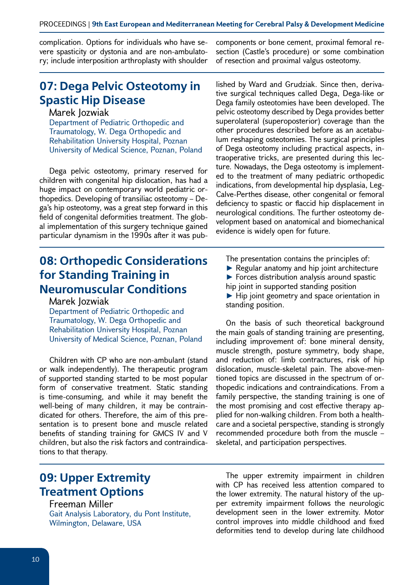complication. Options for individuals who have severe spasticity or dystonia and are non-ambulatory; include interposition arthroplasty with shoulder

#### **07: Dega Pelvic Osteotomy in Spastic Hip Disease**

#### Marek Jozwiak

Department of Pediatric Orthopedic and Traumatology, W. Dega Orthopedic and Rehabilitation University Hospital, Poznan University of Medical Science, Poznan, Poland

Dega pelvic osteotomy, primary reserved for children with congenital hip dislocation, has had a huge impact on contemporary world pediatric orthopedics. Developing of transiliac osteotomy – Dega's hip osteotomy, was a great step forward in this field of congenital deformities treatment. The global implementation of this surgery technique gained particular dynamism in the 1990s after it was pub-

#### **08: Orthopedic Considerations for Standing Training in Neuromuscular Conditions**

Marek Jozwiak

Department of Pediatric Orthopedic and Traumatology, W. Dega Orthopedic and Rehabilitation University Hospital, Poznan University of Medical Science, Poznan, Poland

Children with CP who are non-ambulant (stand or walk independently). The therapeutic program of supported standing started to be most popular form of conservative treatment. Static standing is time-consuming, and while it may benefit the well-being of many children, it may be contraindicated for others. Therefore, the aim of this presentation is to present bone and muscle related benefits of standing training for GMCS IV and V children, but also the risk factors and contraindications to that therapy.

components or bone cement, proximal femoral resection (Castle's procedure) or some combination of resection and proximal valgus osteotomy.

lished by Ward and Grudziak. Since then, derivative surgical techniques called Dega, Dega-like or Dega family osteotomies have been developed. The pelvic osteotomy described by Dega provides better superolateral (superoposterior) coverage than the other procedures described before as an acetabulum reshaping osteotomies. The surgical principles of Dega osteotomy including practical aspects, intraoperative tricks, are presented during this lecture. Nowadays, the Dega osteotomy is implemented to the treatment of many pediatric orthopedic indications, from developmental hip dysplasia, Leg-Calve-Perthes disease, other congenital or femoral deficiency to spastic or flaccid hip displacement in neurological conditions. The further osteotomy development based on anatomical and biomechanical evidence is widely open for future.

The presentation contains the principles of:

- ► Regular anatomy and hip joint architecture ► Forces distribution analysis around spastic
- hip joint in supported standing position
- ► Hip joint geometry and space orientation in standing position.

On the basis of such theoretical background the main goals of standing training are presenting, including improvement of: bone mineral density, muscle strength, posture symmetry, body shape, and reduction of: limb contractures, risk of hip dislocation, muscle-skeletal pain. The above-mentioned topics are discussed in the spectrum of orthopedic indications and contraindications. From a family perspective, the standing training is one of the most promising and cost effective therapy applied for non-walking children. From both a healthcare and a societal perspective, standing is strongly recommended procedure both from the muscle – skeletal, and participation perspectives.

#### **09: Upper Extremity Treatment Options**

Freeman Miller

Gait Analysis Laboratory, du Pont Institute, Wilmington, Delaware, USA

The upper extremity impairment in children with CP has received less attention compared to the lower extremity. The natural history of the upper extremity impairment follows the neurologic development seen in the lower extremity. Motor control improves into middle childhood and fixed deformities tend to develop during late childhood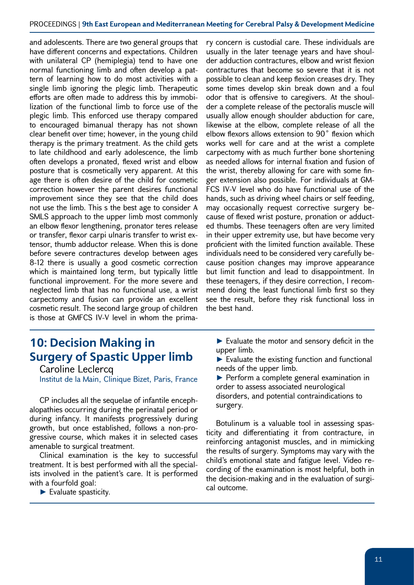#### PROCEEDINGS | **9th East European and Mediterranean Meeting for Cerebral Palsy & Development Medicine**

and adolescents. There are two general groups that have different concerns and expectations. Children with unilateral CP (hemiplegia) tend to have one normal functioning limb and often develop a pattern of learning how to do most activities with a single limb ignoring the plegic limb. Therapeutic efforts are often made to address this by immobilization of the functional limb to force use of the plegic limb. This enforced use therapy compared to encouraged bimanual therapy has not shown clear benefit over time; however, in the young child therapy is the primary treatment. As the child gets to late childhood and early adolescence, the limb often develops a pronated, flexed wrist and elbow posture that is cosmetically very apparent. At this age there is often desire of the child for cosmetic correction however the parent desires functional improvement since they see that the child does not use the limb. This s the best age to consider A SMLS approach to the upper limb most commonly an elbow flexor lengthening, pronator teres release or transfer, flexor carpi ulnaris transfer to wrist extensor, thumb adductor release. When this is done before severe contractures develop between ages 8-12 there is usually a good cosmetic correction which is maintained long term, but typically little functional improvement. For the more severe and neglected limb that has no functional use, a wrist carpectomy and fusion can provide an excellent cosmetic result. The second large group of children is those at GMFCS IV-V level in whom the prima-

ry concern is custodial care. These individuals are usually in the later teenage years and have shoulder adduction contractures, elbow and wrist flexion contractures that become so severe that it is not possible to clean and keep flexion creases dry. They some times develop skin break down and a foul odor that is offensive to caregivers. At the shoulder a complete release of the pectoralis muscle will usually allow enough shoulder abduction for care, likewise at the elbow, complete release of all the elbow flexors allows extension to 90˚ flexion which works well for care and at the wrist a complete carpectomy with as much further bone shortening as needed allows for internal fixation and fusion of the wrist, thereby allowing for care with some finger extension also possible. For individuals at GM-FCS IV-V level who do have functional use of the hands, such as driving wheel chairs or self feeding, may occasionally request corrective surgery because of flexed wrist posture, pronation or adducted thumbs. These teenagers often are very limited in their upper extremity use, but have become very proficient with the limited function available. These individuals need to be considered very carefully because position changes may improve appearance but limit function and lead to disappointment. In these teenagers, if they desire correction, I recommend doing the least functional limb first so they see the result, before they risk functional loss in the best hand.

## **10: Decision Making in Surgery of Spastic Upper limb**

Caroline Leclercq Institut de la Main, Clinique Bizet, Paris, France

CP includes all the sequelae of infantile encephalopathies occurring during the perinatal period or during infancy. It manifests progressively during growth, but once established, follows a non-progressive course, which makes it in selected cases amenable to surgical treatment.

Clinical examination is the key to successful treatment. It is best performed with all the specialists involved in the patient's care. It is performed with a fourfold goal:

► Evaluate spasticity.

► Evaluate the motor and sensory deficit in the upper limb.

 $\blacktriangleright$  Evaluate the existing function and functional needs of the upper limb.

► Perform a complete general examination in order to assess associated neurological disorders, and potential contraindications to surgery.

Botulinum is a valuable tool in assessing spasticity and differentiating it from contracture, in reinforcing antagonist muscles, and in mimicking the results of surgery. Symptoms may vary with the child's emotional state and fatigue level. Video recording of the examination is most helpful, both in the decision-making and in the evaluation of surgical outcome.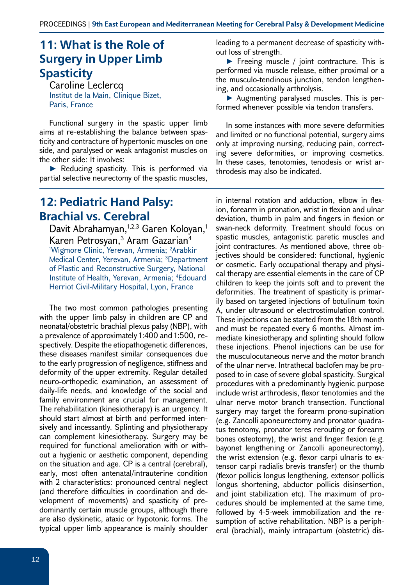## **11: What is the Role of Surgery in Upper Limb Spasticity**

Caroline Leclercq Institut de la Main, Clinique Bizet, Paris, France

Functional surgery in the spastic upper limb aims at re-establishing the balance between spasticity and contracture of hypertonic muscles on one side, and paralysed or weak antagonist muscles on the other side: It involves:

► Reducing spasticity. This is performed via partial selective neurectomy of the spastic muscles,

#### **12: Pediatric Hand Palsy: Brachial vs. Cerebral**

Davit Abrahamyan,<sup>1,2,3</sup> Garen Koloyan,<sup>1</sup> Karen Petrosyan,<sup>3</sup> Aram Gazarian<sup>4</sup> 1 Wigmore Clinic, Yerevan, Armenia; 2 Arabkir Medical Center, Yerevan, Armenia; 3Department of Plastic and Reconstructive Surgery, National Institute of Health, Yerevan, Armenia; 4 Edouard Herriot Civil-Military Hospital, Lyon, France

The two most common pathologies presenting with the upper limb palsy in children are CP and neonatal/obstetric brachial plexus palsy (NBP), with a prevalence of approximately 1:400 and 1:500, respectively. Despite the etiopathogenetic differences, these diseases manifest similar consequences due to the early progression of negligence, stiffness and deformity of the upper extremity. Regular detailed neuro-orthopedic examination, an assessment of daily-life needs, and knowledge of the social and family environment are crucial for management. The rehabilitation (kinesiotherapy) is an urgency. It should start almost at birth and performed intensively and incessantly. Splinting and physiotherapy can complement kinesiotherapy. Surgery may be required for functional amelioration with or without a hygienic or aesthetic component, depending on the situation and age. CP is a central (cerebral), early, most often antenatal/intrauterine condition with 2 characteristics: pronounced central neglect (and therefore difficulties in coordination and development of movements) and spasticity of predominantly certain muscle groups, although there are also dyskinetic, ataxic or hypotonic forms. The typical upper limb appearance is mainly shoulder

leading to a permanent decrease of spasticity without loss of strength.

► Freeing muscle / joint contracture. This is performed via muscle release, either proximal or a the musculo-tendinous junction, tendon lengthening, and occasionally arthrolysis.

► Augmenting paralysed muscles. This is performed whenever possible via tendon transfers.

In some instances with more severe deformities and limited or no functional potential, surgery aims only at improving nursing, reducing pain, correcting severe deformities, or improving cosmetics. In these cases, tenotomies, tenodesis or wrist arthrodesis may also be indicated.

in internal rotation and adduction, elbow in flexion, forearm in pronation, wrist in flexion and ulnar deviation, thumb in palm and fingers in flexion or swan-neck deformity. Treatment should focus on spastic muscles, antagonistic paretic muscles and joint contractures. As mentioned above, three objectives should be considered: functional, hygienic or cosmetic. Early occupational therapy and physical therapy are essential elements in the care of CP children to keep the joints soft and to prevent the deformities. The treatment of spasticity is primarily based on targeted injections of botulinum toxin A, under ultrasound or electrostimulation control. These injections can be started from the 18th month and must be repeated every 6 months. Almost immediate kinesiotherapy and splinting should follow these injections. Phenol injections can be use for the musculocutaneous nerve and the motor branch of the ulnar nerve. Intrathecal baclofen may be proposed to in case of severe global spasticity. Surgical procedures with a predominantly hygienic purpose include wrist arthrodesis, flexor tenotomies and the ulnar nerve motor branch transection. Functional surgery may target the forearm prono-supination (e.g. Zancolli aponeurectomy and pronator quadratus tenotomy, pronator teres rerouting or forearm bones osteotomy), the wrist and finger flexion (e.g. bayonet lengthening or Zancolli aponeurectomy), the wrist extension (e.g. flexor carpi ulnaris to extensor carpi radialis brevis transfer) or the thumb (flexor pollicis longus lengthening, extensor pollicis longus shortening, abductor pollicis disinsertion, and joint stabilization etc). The maximum of procedures should be implemented at the same time, followed by 4-5-week immobilization and the resumption of active rehabilitation. NBP is a peripheral (brachial), mainly intrapartum (obstetric) dis-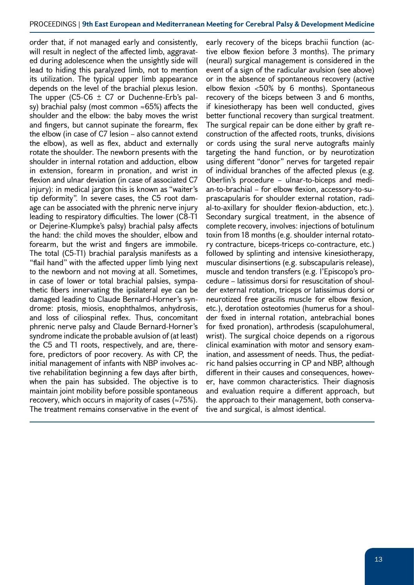order that, if not managed early and consistently, will result in neglect of the affected limb, aggravated during adolescence when the unsightly side will lead to hiding this paralyzed limb, not to mention its utilization. The typical upper limb appearance depends on the level of the brachial plexus lesion. The upper (C5-C6  $\pm$  C7 or Duchenne-Erb's palsy) brachial palsy (most common  $\approx 65\%$ ) affects the shoulder and the elbow: the baby moves the wrist and fingers, but cannot supinate the forearm, flex the elbow (in case of C7 lesion – also cannot extend the elbow), as well as flex, abduct and externally rotate the shoulder. The newborn presents with the shoulder in internal rotation and adduction, elbow in extension, forearm in pronation, and wrist in flexion and ulnar deviation (in case of associated C7 injury): in medical jargon this is known as "waiter's tip deformity". In severe cases, the C5 root damage can be associated with the phrenic nerve injury leading to respiratory difficulties. The lower (C8-T1 or Dejerine-Klumpke's palsy) brachial palsy affects the hand: the child moves the shoulder, elbow and forearm, but the wrist and fingers are immobile. The total (C5-T1) brachial paralysis manifests as a "flail hand" with the affected upper limb lying next to the newborn and not moving at all. Sometimes, in case of lower or total brachial palsies, sympathetic fibers innervating the ipsilateral eye can be damaged leading to Claude Bernard-Horner's syndrome: ptosis, miosis, enophthalmos, anhydrosis, and loss of ciliospinal reflex. Thus, concomitant phrenic nerve palsy and Claude Bernard-Horner's syndrome indicate the probable avulsion of (at least) the C5 and T1 roots, respectively, and are, therefore, predictors of poor recovery. As with CP, the initial management of infants with NBP involves active rehabilitation beginning a few days after birth, when the pain has subsided. The objective is to maintain joint mobility before possible spontaneous recovery, which occurs in majority of cases ( $\approx$ 75%). The treatment remains conservative in the event of

early recovery of the biceps brachii function (active elbow flexion before 3 months). The primary (neural) surgical management is considered in the event of a sign of the radicular avulsion (see above) or in the absence of spontaneous recovery (active elbow flexion <50% by 6 months). Spontaneous recovery of the biceps between 3 and 6 months, if kinesiotherapy has been well conducted, gives better functional recovery than surgical treatment. The surgical repair can be done either by graft reconstruction of the affected roots, trunks, divisions or cords using the sural nerve autografts mainly targeting the hand function, or by neurotization using different "donor" nerves for targeted repair of individual branches of the affected plexus (e.g. Oberlin's procedure – ulnar-to-biceps and median-to-brachial – for elbow flexion, accessory-to-suprascapularis for shoulder external rotation, radial-to-axillary for shoulder flexion-abduction, etc.). Secondary surgical treatment, in the absence of complete recovery, involves: injections of botulinum toxin from 18 months (e.g. shoulder internal rotatory contracture, biceps-triceps co-contracture, etc.) followed by splinting and intensive kinesiotherapy, muscular disinsertions (e.g. subscapularis release), muscle and tendon transfers (e.g. l'Episcopo's procedure – latissimus dorsi for resuscitation of shoulder external rotation, triceps or latissimus dorsi or neurotized free gracilis muscle for elbow flexion, etc.), derotation osteotomies (humerus for a shoulder fixed in internal rotation, antebrachial bones for fixed pronation), arthrodesis (scapulohumeral, wrist). The surgical choice depends on a rigorous clinical examination with motor and sensory examination, and assessment of needs. Thus, the pediatric hand palsies occurring in CP and NBP, although different in their causes and consequences, however, have common characteristics. Their diagnosis and evaluation require a different approach, but the approach to their management, both conservative and surgical, is almost identical.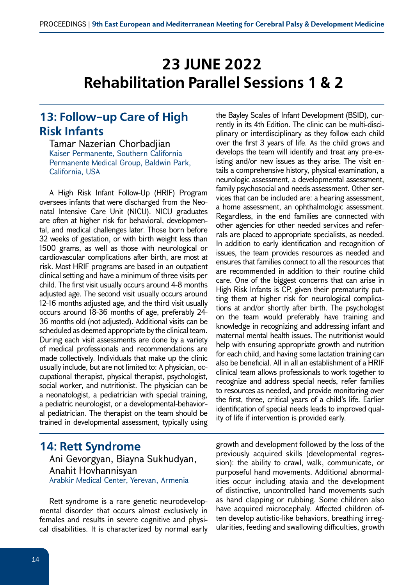# **23 JUNE 2022 Rehabilitation Parallel Sessions 1 & 2**

#### **13: Follow-up Care of High Risk Infants**

Tamar Nazerian Chorbadjian Kaiser Permanente, Southern California Permanente Medical Group, Baldwin Park, California, USA

A High Risk Infant Follow-Up (HRIF) Program oversees infants that were discharged from the Neonatal Intensive Care Unit (NICU). NICU graduates are often at higher risk for behavioral, developmental, and medical challenges later. Those born before 32 weeks of gestation, or with birth weight less than 1500 grams, as well as those with neurological or cardiovascular complications after birth, are most at risk. Most HRIF programs are based in an outpatient clinical setting and have a minimum of three visits per child. The first visit usually occurs around 4-8 months adjusted age. The second visit usually occurs around 12-16 months adjusted age, and the third visit usually occurs around 18-36 months of age, preferably 24- 36 months old (not adjusted). Additional visits can be scheduled as deemed appropriate by the clinical team. During each visit assessments are done by a variety of medical professionals and recommendations are made collectively. Individuals that make up the clinic usually include, but are not limited to: A physician, occupational therapist, physical therapist, psychologist, social worker, and nutritionist. The physician can be a neonatologist, a pediatrician with special training, a pediatric neurologist, or a developmental-behavioral pediatrician. The therapist on the team should be trained in developmental assessment, typically using

# **14: Rett Syndrome** Ani Gevorgyan, Biayna Sukhudyan, Anahit Hovhannisyan

Arabkir Medical Center, Yerevan, Armenia

Rett syndrome is a rare genetic neurodevelopmental disorder that occurs almost exclusively in females and results in severe cognitive and physical disabilities. It is characterized by normal early the Bayley Scales of Infant Development (BSID), currently in its 4th Edition. The clinic can be multi-disciplinary or interdisciplinary as they follow each child over the first 3 years of life. As the child grows and develops the team will identify and treat any pre-existing and/or new issues as they arise. The visit entails a comprehensive history, physical examination, a neurologic assessment, a developmental assessment, family psychosocial and needs assessment. Other services that can be included are: a hearing assessment, a home assessment, an ophthalmologic assessment. Regardless, in the end families are connected with other agencies for other needed services and referrals are placed to appropriate specialists, as needed. In addition to early identification and recognition of issues, the team provides resources as needed and ensures that families connect to all the resources that are recommended in addition to their routine child care. One of the biggest concerns that can arise in High Risk Infants is CP, given their prematurity putting them at higher risk for neurological complications at and/or shortly after birth. The psychologist on the team would preferably have training and knowledge in recognizing and addressing infant and maternal mental health issues. The nutritionist would help with ensuring appropriate growth and nutrition for each child, and having some lactation training can also be beneficial. All in all an establishment of a HRIF clinical team allows professionals to work together to recognize and address special needs, refer families to resources as needed, and provide monitoring over the first, three, critical years of a child's life. Earlier identification of special needs leads to improved quality of life if intervention is provided early.

growth and development followed by the loss of the previously acquired skills (developmental regression): the ability to crawl, walk, communicate, or purposeful hand movements. Additional abnormalities occur including ataxia and the development of distinctive, uncontrolled hand movements such as hand clapping or rubbing. Some children also have acquired microcephaly. Affected children often develop autistic-like behaviors, breathing irregularities, feeding and swallowing difficulties, growth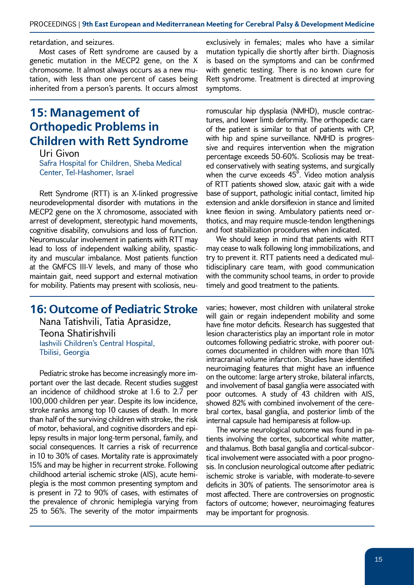#### PROCEEDINGS | **9th East European and Mediterranean Meeting for Cerebral Palsy & Development Medicine**

#### retardation, and seizures.

Most cases of Rett syndrome are caused by a genetic mutation in the MECP2 gene, on the X chromosome. It almost always occurs as a new mutation, with less than one percent of cases being inherited from a person's parents. It occurs almost

#### **15: Management of Orthopedic Problems in Children with Rett Syndrome**

Uri Givon Safra Hospital for Children, Sheba Medical Center, Tel-Hashomer, Israel

Rett Syndrome (RTT) is an X-linked progressive neurodevelopmental disorder with mutations in the MECP2 gene on the X chromosome, associated with arrest of development, stereotypic hand movements, cognitive disability, convulsions and loss of function. Neuromuscular involvement in patients with RTT may lead to loss of independent walking ability, spasticity and muscular imbalance. Most patients function at the GMFCS III-V levels, and many of those who maintain gait, need support and external motivation for mobility. Patients may present with scoliosis, neu-

#### **16: Outcome of Pediatric Stroke**

Nana Tatishvili, Tatia Aprasidze, Teona Shatirishvili Iashvili Children's Central Hospital, Tbilisi, Georgia

Pediatric stroke has become increasingly more important over the last decade. Recent studies suggest an incidence of childhood stroke at 1.6 to 2.7 per 100,000 children per year. Despite its low incidence, stroke ranks among top 10 causes of death. In more than half of the surviving children with stroke, the risk of motor, behavioral, and cognitive disorders and epilepsy results in major long-term personal, family, and social consequences. It carries a risk of recurrence in 10 to 30% of cases. Mortality rate is approximately 15% and may be higher in recurrent stroke. Following childhood arterial ischemic stroke (AIS), acute hemiplegia is the most common presenting symptom and is present in 72 to 90% of cases, with estimates of the prevalence of chronic hemiplegia varying from 25 to 56%. The severity of the motor impairments

exclusively in females; males who have a similar mutation typically die shortly after birth. Diagnosis is based on the symptoms and can be confirmed with genetic testing. There is no known cure for Rett syndrome. Treatment is directed at improving symptoms.

romuscular hip dysplasia (NMHD), muscle contractures, and lower limb deformity. The orthopedic care of the patient is similar to that of patients with CP, with hip and spine surveillance. NMHD is progressive and requires intervention when the migration percentage exceeds 50-60%. Scoliosis may be treated conservatively with seating systems, and surgically when the curve exceeds 45<sup>°</sup>. Video motion analysis of RTT patients showed slow, ataxic gait with a wide base of support, pathologic initial contact, limited hip extension and ankle dorsiflexion in stance and limited knee flexion in swing. Ambulatory patients need orthotics, and may require muscle-tendon lengthenings and foot stabilization procedures when indicated.

We should keep in mind that patients with RTT may cease to walk following long immobilizations, and try to prevent it. RTT patients need a dedicated multidisciplinary care team, with good communication with the community school teams, in order to provide timely and good treatment to the patients.

varies; however, most children with unilateral stroke will gain or regain independent mobility and some have fine motor deficits. Research has suggested that lesion characteristics play an important role in motor outcomes following pediatric stroke, with poorer outcomes documented in children with more than 10% intracranial volume infarction. Studies have identified neuroimaging features that might have an influence on the outcome: large artery stroke, bilateral infarcts, and involvement of basal ganglia were associated with poor outcomes. A study of 43 children with AIS, showed 82% with combined involvement of the cerebral cortex, basal ganglia, and posterior limb of the internal capsule had hemiparesis at follow-up.

The worse neurological outcome was found in patients involving the cortex, subcortical white matter, and thalamus. Both basal ganglia and cortical-subcortical involvement were associated with a poor prognosis. In conclusion neurological outcome after pediatric ischemic stroke is variable, with moderate-to-severe deficits in 30% of patients. The sensorimotor area is most affected. There are controversies on prognostic factors of outcome; however, neuroimaging features may be important for prognosis.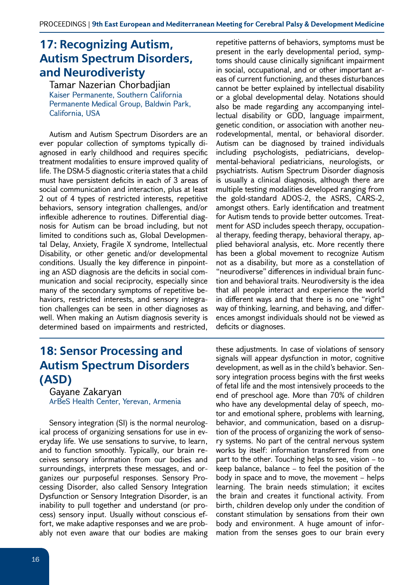## **17: Recognizing Autism, Autism Spectrum Disorders, and Neurodiveristy**

Tamar Nazerian Chorbadjian Kaiser Permanente, Southern California Permanente Medical Group, Baldwin Park, California, USA

Autism and Autism Spectrum Disorders are an ever popular collection of symptoms typically diagnosed in early childhood and requires specific treatment modalities to ensure improved quality of life. The DSM-5 diagnostic criteria states that a child must have persistent deficits in each of 3 areas of social communication and interaction, plus at least 2 out of 4 types of restricted interests, repetitive behaviors, sensory integration challenges, and/or inflexible adherence to routines. Differential diagnosis for Autism can be broad including, but not limited to conditions such as, Global Developmental Delay, Anxiety, Fragile X syndrome, Intellectual Disability, or other genetic and/or developmental conditions. Usually the key difference in pinpointing an ASD diagnosis are the deficits in social communication and social reciprocity, especially since many of the secondary symptoms of repetitive behaviors, restricted interests, and sensory integration challenges can be seen in other diagnoses as well. When making an Autism diagnosis severity is determined based on impairments and restricted,

## **18: Sensor Processing and Autism Spectrum Disorders (ASD)**

Gayane Zakaryan ArBeS Health Center, Yerevan, Armenia

Sensory integration (SI) is the normal neurological process of organizing sensations for use in everyday life. We use sensations to survive, to learn, and to function smoothly. Typically, our brain receives sensory information from our bodies and surroundings, interprets these messages, and organizes our purposeful responses. Sensory Processing Disorder, also called Sensory Integration Dysfunction or Sensory Integration Disorder, is an inability to pull together and understand (or process) sensory input. Usually without conscious effort, we make adaptive responses and we are probably not even aware that our bodies are making

16

repetitive patterns of behaviors, symptoms must be present in the early developmental period, symptoms should cause clinically significant impairment in social, occupational, and or other important areas of current functioning, and theses disturbances cannot be better explained by intellectual disability or a global developmental delay. Notations should also be made regarding any accompanying intellectual disability or GDD, language impairment, genetic condition, or association with another neurodevelopmental, mental, or behavioral disorder. Autism can be diagnosed by trained individuals including psychologists, pediatricians, developmental-behavioral pediatricians, neurologists, or psychiatrists. Autism Spectrum Disorder diagnosis is usually a clinical diagnosis, although there are multiple testing modalities developed ranging from the gold-standard ADOS-2, the ASRS, CARS-2, amongst others. Early identification and treatment for Autism tends to provide better outcomes. Treatment for ASD includes speech therapy, occupational therapy, feeding therapy, behavioral therapy, applied behavioral analysis, etc. More recently there has been a global movement to recognize Autism not as a disability, but more as a constellation of "neurodiverse" differences in individual brain function and behavioral traits. Neurodiversity is the idea that all people interact and experience the world in different ways and that there is no one "right" way of thinking, learning, and behaving, and differences amongst individuals should not be viewed as deficits or diagnoses.

these adjustments. In case of violations of sensory signals will appear dysfunction in motor, cognitive development, as well as in the child's behavior. Sensory integration process begins with the first weeks of fetal life and the most intensively proceeds to the end of preschool age. More than 70% of children who have any developmental delay of speech, motor and emotional sphere, problems with learning, behavior, and communication, based on a disruption of the process of organizing the work of sensory systems. No part of the central nervous system works by itself: information transferred from one part to the other. Touching helps to see, vision – to keep balance, balance – to feel the position of the body in space and to move, the movement – helps learning. The brain needs stimulation; it excites the brain and creates it functional activity. From birth, children develop only under the condition of constant stimulation by sensations from their own body and environment. A huge amount of information from the senses goes to our brain every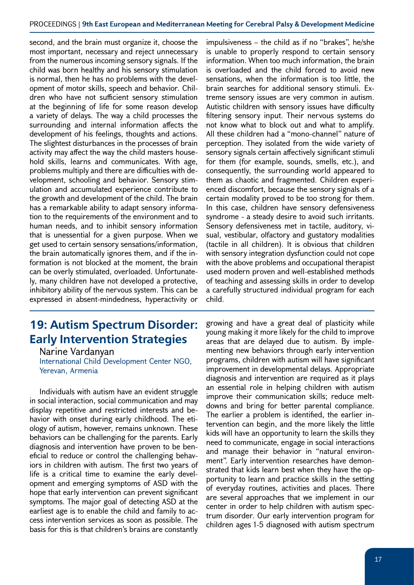#### PROCEEDINGS | **9th East European and Mediterranean Meeting for Cerebral Palsy & Development Medicine**

second, and the brain must organize it, choose the most important, necessary and reject unnecessary from the numerous incoming sensory signals. If the child was born healthy and his sensory stimulation is normal, then he has no problems with the development of motor skills, speech and behavior. Children who have not sufficient sensory stimulation at the beginning of life for some reason develop a variety of delays. The way a child processes the surrounding and internal information affects the development of his feelings, thoughts and actions. The slightest disturbances in the processes of brain activity may affect the way the child masters household skills, learns and communicates. With age, problems multiply and there are difficulties with development, schooling and behavior. Sensory stimulation and accumulated experience contribute to the growth and development of the child. The brain has a remarkable ability to adapt sensory information to the requirements of the environment and to human needs, and to inhibit sensory information that is unessential for a given purpose. When we get used to certain sensory sensations/information, the brain automatically ignores them, and if the information is not blocked at the moment, the brain can be overly stimulated, overloaded. Unfortunately, many children have not developed a protective, inhibitory ability of the nervous system. This can be expressed in absent-mindedness, hyperactivity or

#### **19: Autism Spectrum Disorder: Early Intervention Strategies**

Narine Vardanyan International Child Development Center NGO, Yerevan, Armenia

Individuals with autism have an evident struggle in social interaction, social communication and may display repetitive and restricted interests and behavior with onset during early childhood. The etiology of autism, however, remains unknown. These behaviors can be challenging for the parents. Early diagnosis and intervention have proven to be beneficial to reduce or control the challenging behaviors in children with autism. The first two years of life is a critical time to examine the early development and emerging symptoms of ASD with the hope that early intervention can prevent significant symptoms. The major goal of detecting ASD at the earliest age is to enable the child and family to access intervention services as soon as possible. The basis for this is that children's brains are constantly

impulsiveness – the child as if no "brakes", he/she is unable to properly respond to certain sensory information. When too much information, the brain is overloaded and the child forced to avoid new sensations, when the information is too little, the brain searches for additional sensory stimuli. Extreme sensory issues are very common in autism. Autistic children with sensory issues have difficulty filtering sensory input. Their nervous systems do not know what to block out and what to amplify. All these children had a "mono-channel" nature of perception. They isolated from the wide variety of sensory signals certain affectively significant stimuli for them (for example, sounds, smells, etc.), and consequently, the surrounding world appeared to them as chaotic and fragmented. Children experienced discomfort, because the sensory signals of a certain modality proved to be too strong for them. In this case, children have sensory defensiveness syndrome - a steady desire to avoid such irritants. Sensory defensiveness met in tactile, auditory, visual, vestibular, olfactory and gustatory modalities (tactile in all children). It is obvious that children with sensory integration dysfunction could not cope with the above problems and occupational therapist used modern proven and well-established methods of teaching and assessing skills in order to develop a carefully structured individual program for each child.

growing and have a great deal of plasticity while young making it more likely for the child to improve areas that are delayed due to autism. By implementing new behaviors through early intervention programs, children with autism will have significant improvement in developmental delays. Appropriate diagnosis and intervention are required as it plays an essential role in helping children with autism improve their communication skills; reduce meltdowns and bring for better parental compliance. The earlier a problem is identified, the earlier intervention can begin, and the more likely the little kids will have an opportunity to learn the skills they need to communicate, engage in social interactions and manage their behavior in "natural environment". Early intervention researches have demonstrated that kids learn best when they have the opportunity to learn and practice skills in the setting of everyday routines, activities and places. There are several approaches that we implement in our center in order to help children with autism spectrum disorder. Our early intervention program for children ages 1-5 diagnosed with autism spectrum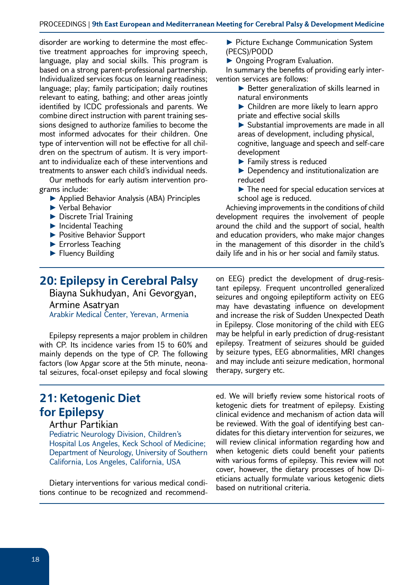#### PROCEEDINGS | **9th East European and Mediterranean Meeting for Cerebral Palsy & Development Medicine**

disorder are working to determine the most effective treatment approaches for improving speech, language, play and social skills. This program is based on a strong parent-professional partnership. Individualized services focus on learning readiness; language; play; family participation; daily routines relevant to eating, bathing; and other areas jointly identified by ICDC professionals and parents. We combine direct instruction with parent training sessions designed to authorize families to become the most informed advocates for their children. One type of intervention will not be effective for all children on the spectrum of autism. It is very important to individualize each of these interventions and treatments to answer each child's individual needs.

Our methods for early autism intervention programs include:

- ► Applied Behavior Analysis (ABA) Principles
- ► Verbal Behavior
- ► Discrete Trial Training
- ► Incidental Teaching
- ► Positive Behavior Support
- ► Errorless Teaching
- ► Fluency Building

#### **20: Epilepsy in Cerebral Palsy**

Biayna Sukhudyan, Ani Gevorgyan, Armine Asatryan Arabkir Medical Center, Yerevan, Armenia

Epilepsy represents a major problem in children with CP. Its incidence varies from 15 to 60% and mainly depends on the type of CP. The following factors (low Apgar score at the 5th minute, neonatal seizures, focal-onset epilepsy and focal slowing

## **21: Ketogenic Diet for Epilepsy**

#### Arthur Partikian

Pediatric Neurology Division, Children's Hospital Los Angeles, Keck School of Medicine; Department of Neurology, University of Southern California, Los Angeles, California, USA

Dietary interventions for various medical conditions continue to be recognized and recommend► Picture Exchange Communication System (PECS)/PODD

► Ongoing Program Evaluation.

In summary the benefits of providing early intervention services are follows:

- ► Better generalization of skills learned in natural environments
- ► Children are more likely to learn appro priate and effective social skills
- ► Substantial improvements are made in all areas of development, including physical, cognitive, language and speech and self-care development
- ► Family stress is reduced
- ► Dependency and institutionalization are reduced
- ► The need for special education services at school age is reduced.

Achieving improvements in the conditions of child development requires the involvement of people around the child and the support of social, health and education providers, who make major changes in the management of this disorder in the child's daily life and in his or her social and family status.

on EEG) predict the development of drug-resistant epilepsy. Frequent uncontrolled generalized seizures and ongoing epileptiform activity on EEG may have devastating influence on development and increase the risk of Sudden Unexpected Death in Epilepsy. Close monitoring of the child with EEG may be helpful in early prediction of drug-resistant epilepsy. Treatment of seizures should be guided by seizure types, EEG abnormalities, MRI changes and may include anti seizure medication, hormonal therapy, surgery etc.

ed. We will briefly review some historical roots of ketogenic diets for treatment of epilepsy. Existing clinical evidence and mechanism of action data will be reviewed. With the goal of identifying best candidates for this dietary intervention for seizures, we will review clinical information regarding how and when ketogenic diets could benefit your patients with various forms of epilepsy. This review will not cover, however, the dietary processes of how Dieticians actually formulate various ketogenic diets based on nutritional criteria.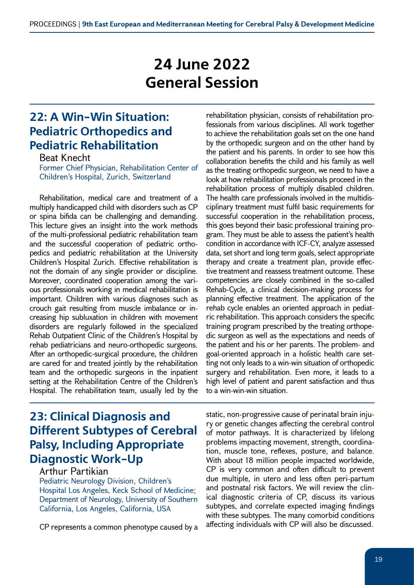# **24 June 2022 General Session**

## **22: A Win-Win Situation: Pediatric Orthopedics and Pediatric Rehabilitation**

Beat Knecht

Former Chief Physician, Rehabilitation Center of Children's Hospital, Zurich, Switzerland

Rehabilitation, medical care and treatment of a multiply handicapped child with disorders such as CP or spina bifida can be challenging and demanding. This lecture gives an insight into the work methods of the multi-professional pediatric rehabilitation team and the successful cooperation of pediatric orthopedics and pediatric rehabilitation at the University Children's Hospital Zurich. Effective rehabilitation is not the domain of any single provider or discipline. Moreover, coordinated cooperation among the various professionals working in medical rehabilitation is important. Children with various diagnoses such as crouch gait resulting from muscle imbalance or increasing hip subluxation in children with movement disorders are regularly followed in the specialized Rehab Outpatient Clinic of the Children's Hospital by rehab pediatricians and neuro-orthopedic surgeons. After an orthopedic-surgical procedure, the children are cared for and treated jointly by the rehabilitation team and the orthopedic surgeons in the inpatient setting at the Rehabilitation Centre of the Children's Hospital. The rehabilitation team, usually led by the

rehabilitation physician, consists of rehabilitation professionals from various disciplines. All work together to achieve the rehabilitation goals set on the one hand by the orthopedic surgeon and on the other hand by the patient and his parents. In order to see how this collaboration benefits the child and his family as well as the treating orthopedic surgeon, we need to have a look at how rehabilitation professionals proceed in the rehabilitation process of multiply disabled children. The health care professionals involved in the multidisciplinary treatment must fulfil basic requirements for successful cooperation in the rehabilitation process, this goes beyond their basic professional training program. They must be able to assess the patient's health condition in accordance with ICF-CY, analyze assessed data, set short and long term goals, select appropriate therapy and create a treatment plan, provide effective treatment and reassess treatment outcome. These competencies are closely combined in the so-called Rehab-Cycle, a clinical decision-making process for planning effective treatment. The application of the rehab cycle enables an oriented approach in pediatric rehabilitation. This approach considers the specific training program prescribed by the treating orthopedic surgeon as well as the expectations and needs of the patient and his or her parents. The problem- and goal-oriented approach in a holistic health care setting not only leads to a win-win situation of orthopedic surgery and rehabilitation. Even more, it leads to a high level of patient and parent satisfaction and thus to a win-win-win situation.

## **23: Clinical Diagnosis and Different Subtypes of Cerebral Palsy, Including Appropriate Diagnostic Work-Up**

#### Arthur Partikian

Pediatric Neurology Division, Children's Hospital Los Angeles, Keck School of Medicine; Department of Neurology, University of Southern California, Los Angeles, California, USA

CP represents a common phenotype caused by a

static, non-progressive cause of perinatal brain injury or genetic changes affecting the cerebral control of motor pathways. It is characterized by lifelong problems impacting movement, strength, coordination, muscle tone, reflexes, posture, and balance. With about 18 million people impacted worldwide, CP is very common and often difficult to prevent due multiple, in utero and less often peri-partum and postnatal risk factors. We will review the clinical diagnostic criteria of CP, discuss its various subtypes, and correlate expected imaging findings with these subtypes. The many comorbid conditions affecting individuals with CP will also be discussed.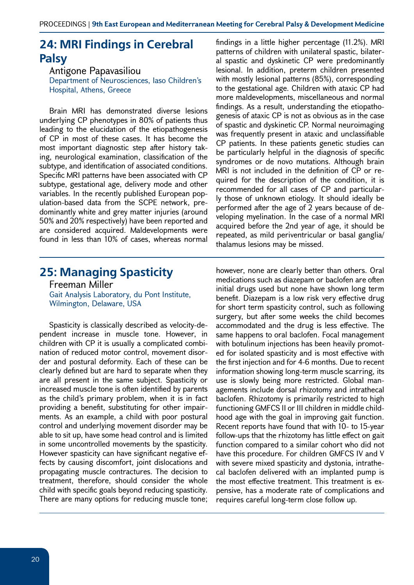#### **24: MRI Findings in Cerebral Palsy**

Antigone Papavasiliou Department of Neurosciences, Iaso Children's Hospital, Athens, Greece

Brain MRI has demonstrated diverse lesions underlying CP phenotypes in 80% of patients thus leading to the elucidation of the etiopathogenesis of CP in most of these cases. It has become the most important diagnostic step after history taking, neurological examination, classification of the subtype, and identification of associated conditions. Specific MRI patterns have been associated with CP subtype, gestational age, delivery mode and other variables. In the recently published European population-based data from the SCPE network, predominantly white and grey matter injuries (around 50% and 20% respectively) have been reported and are considered acquired. Maldevelopments were found in less than 10% of cases, whereas normal findings in a little higher percentage (11.2%). MRI patterns of children with unilateral spastic, bilateral spastic and dyskinetic CP were predominantly lesional. In addition, preterm children presented with mostly lesional patterns (85%), corresponding to the gestational age. Children with ataxic CP had more maldevelopments, miscellaneous and normal findings. As a result, understanding the etiopathogenesis of ataxic CP is not as obvious as in the case of spastic and dyskinetic CP. Normal neuroimaging was frequently present in ataxic and unclassifiable CP patients. In these patients genetic studies can be particularly helpful in the diagnosis of specific syndromes or de novo mutations. Although brain MRI is not included in the definition of CP or required for the description of the condition, it is recommended for all cases of CP and particularly those of unknown etiology. It should ideally be performed after the age of 2 years because of developing myelination. In the case of a normal MRI acquired before the 2nd year of age, it should be repeated, as mild periventricular or basal ganglia/ thalamus lesions may be missed.

#### **25: Managing Spasticity**

Freeman Miller Gait Analysis Laboratory, du Pont Institute, Wilmington, Delaware, USA

Spasticity is classically described as velocity-dependent increase in muscle tone. However, in children with CP it is usually a complicated combination of reduced motor control, movement disorder and postural deformity. Each of these can be clearly defined but are hard to separate when they are all present in the same subject. Spasticity or increased muscle tone is often identified by parents as the child's primary problem, when it is in fact providing a benefit, substituting for other impairments. As an example, a child with poor postural control and underlying movement disorder may be able to sit up, have some head control and is limited in some uncontrolled movements by the spasticity. However spasticity can have significant negative effects by causing discomfort, joint dislocations and propagating muscle contractures. The decision to treatment, therefore, should consider the whole child with specific goals beyond reducing spasticity. There are many options for reducing muscle tone;

however, none are clearly better than others. Oral medications such as diazepam or baclofen are often initial drugs used but none have shown long term benefit. Diazepam is a low risk very effective drug for short term spasticity control, such as following surgery, but after some weeks the child becomes accommodated and the drug is less effective. The same happens to oral baclofen. Focal management with botulinum injections has been heavily promoted for isolated spasticity and is most effective with the first injection and for 4-6 months. Due to recent information showing long-term muscle scarring, its use is slowly being more restricted. Global managements include dorsal rhizotomy and intrathecal baclofen. Rhizotomy is primarily restricted to high functioning GMFCS II or III children in middle childhood age with the goal in improving gait function. Recent reports have found that with 10- to 15-year follow-ups that the rhizotomy has little effect on gait function compared to a similar cohort who did not have this procedure. For children GMFCS IV and V with severe mixed spasticity and dystonia, intrathecal baclofen delivered with an implanted pump is the most effective treatment. This treatment is expensive, has a moderate rate of complications and requires careful long-term close follow up.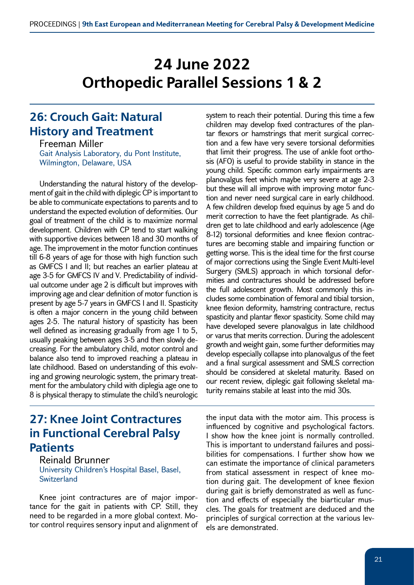# **24 June 2022 Orthopedic Parallel Sessions 1 & 2**

#### **26: Crouch Gait: Natural History and Treatment**

Freeman Miller Gait Analysis Laboratory, du Pont Institute, Wilmington, Delaware, USA

Understanding the natural history of the development of gait in the child with diplegic CP is important to be able to communicate expectations to parents and to understand the expected evolution of deformities. Our goal of treatment of the child is to maximize normal development. Children with CP tend to start walking with supportive devices between 18 and 30 months of age. The improvement in the motor function continues till 6-8 years of age for those with high function such as GMFCS I and II; but reaches an earlier plateau at age 3-5 for GMFCS IV and V. Predictability of individual outcome under age 2 is difficult but improves with improving age and clear definition of motor function is present by age 5-7 years in GMFCS I and II. Spasticity is often a major concern in the young child between ages 2-5. The natural history of spasticity has been well defined as increasing gradually from age 1 to 5, usually peaking between ages 3-5 and then slowly decreasing. For the ambulatory child, motor control and balance also tend to improved reaching a plateau in late childhood. Based on understanding of this evolving and growing neurologic system, the primary treatment for the ambulatory child with diplegia age one to 8 is physical therapy to stimulate the child's neurologic

**27: Knee Joint Contractures in Functional Cerebral Palsy Patients**

Reinald Brunner University Children's Hospital Basel, Basel, **Switzerland** 

Knee joint contractures are of major importance for the gait in patients with CP. Still, they need to be regarded in a more global context. Motor control requires sensory input and alignment of system to reach their potential. During this time a few children may develop fixed contractures of the plantar flexors or hamstrings that merit surgical correction and a few have very severe torsional deformities that limit their progress. The use of ankle foot orthosis (AFO) is useful to provide stability in stance in the young child. Specific common early impairments are planovalgus feet which maybe very severe at age 2-3 but these will all improve with improving motor function and never need surgical care in early childhood. A few children develop fixed equinus by age 5 and do merit correction to have the feet plantigrade. As children get to late childhood and early adolescence (Age 8-12) torsional deformities and knee flexion contractures are becoming stable and impairing function or getting worse. This is the ideal time for the first course of major corrections using the Single Event Multi-level Surgery (SMLS) approach in which torsional deformities and contractures should be addressed before the full adolescent growth. Most commonly this includes some combination of femoral and tibial torsion, knee flexion deformity, hamstring contracture, rectus spasticity and plantar flexor spasticity. Some child may have developed severe planovalgus in late childhood or varus that merits correction. During the adolescent growth and weight gain, some further deformities may develop especially collapse into planovalgus of the feet and a final surgical assessment and SMLS correction should be considered at skeletal maturity. Based on our recent review, diplegic gait following skeletal maturity remains stabile at least into the mid 30s.

the input data with the motor aim. This process is influenced by cognitive and psychological factors. I show how the knee joint is normally controlled. This is important to understand failures and possibilities for compensations. I further show how we can estimate the importance of clinical parameters from statical assessment in respect of knee motion during gait. The development of knee flexion during gait is briefly demonstrated as well as function and effects of especially the biarticular muscles. The goals for treatment are deduced and the principles of surgical correction at the various levels are demonstrated.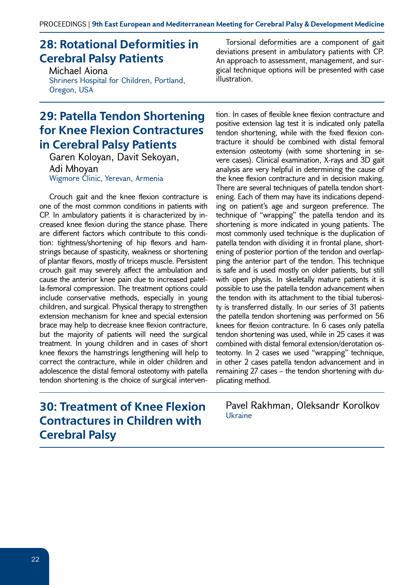## **28: Rotational Deformities in Cerebral Palsy Patients**

Michael Aiona Shriners Hospital for Children, Portland, Oregon, USA

#### **29: Patella Tendon Shortening for Knee Flexion Contractures in Cerebral Palsy Patients**

Garen Koloyan, Davit Sekoyan, Adi Mhoyan Wigmore Clinic, Yerevan, Armenia

Crouch gait and the knee flexion contracture is one of the most common conditions in patients with CP. In ambulatory patients it is characterized by increased knee flexion during the stance phase. There are different factors which contribute to this condition: tightness/shortening of hip flexors and hamstrings because of spasticity, weakness or shortening of plantar flexors, mostly of triceps muscle. Persistent crouch gait may severely affect the ambulation and cause the anterior knee pain due to increased patella-femoral compression. The treatment options could include conservative methods, especially in young children, and surgical. Physical therapy to strengthen extension mechanism for knee and special extension brace may help to decrease knee flexion contracture, but the majority of patients will need the surgical treatment. In young children and in cases of short knee flexors the hamstrings lengthening will help to correct the contracture, while in older children and adolescence the distal femoral osteotomy with patella tendon shortening is the choice of surgical interven-

## **30: Treatment of Knee Flexion Contractures in Children with Cerebral Palsy**

Torsional deformities are a component of gait deviations present in ambulatory patients with CP. An approach to assessment, management, and surgical technique options will be presented with case illustration.

tion. In cases of flexible knee flexion contracture and positive extension lag test it is indicated only patella tendon shortening, while with the fixed flexion contracture it should be combined with distal femoral extension osteotomy (with some shortening in severe cases). Clinical examination, X-rays and 3D gait analysis are very helpful in determining the cause of the knee flexion contracture and in decision making. There are several techniques of patella tendon shortening. Each of them may have its indications depending on patient's age and surgeon preference. The technique of "wrapping" the patella tendon and its shortening is more indicated in young patients. The most commonly used technique is the duplication of patella tendon with dividing it in frontal plane, shortening of posterior portion of the tendon and overlapping the anterior part of the tendon. This technique is safe and is used mostly on older patients, but still with open physis. In skeletally mature patients it is possible to use the patella tendon advancement when the tendon with its attachment to the tibial tuberosity is transferred distally. In our series of 31 patients the patella tendon shortening was performed on 56 knees for flexion contracture. In 6 cases only patella tendon shortening was used, while in 25 cases it was combined with distal femoral extension/derotation osteotomy. In 2 cases we used "wrapping" technique, in other 2 cases patella tendon advancement and in remaining 27 cases – the tendon shortening with duplicating method.

Pavel Rakhman, Oleksandr Korolkov Ukraine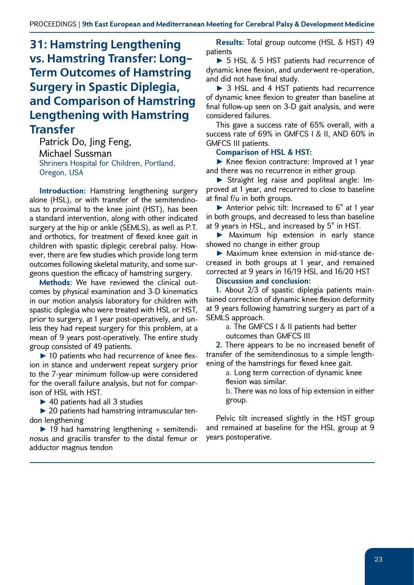## **31: Hamstring Lengthening vs. Hamstring Transfer: Long-Term Outcomes of Hamstring Surgery in Spastic Diplegia, and Comparison of Hamstring Lengthening with Hamstring Transfer**

Patrick Do, Jing Feng, Michael Sussman Shriners Hospital for Children, Portland, Oregon, USA

**Introduction:** Hamstring lengthening surgery alone (HSL), or with transfer of the semitendinosus to proximal to the knee joint (HST), has been a standard intervention, along with other indicated surgery at the hip or ankle (SEMLS), as well as P.T. and orthotics, for treatment of flexed knee gait in children with spastic diplegic cerebral palsy. However, there are few studies which provide long term outcomes following skeletal maturity, and some surgeons question the efficacy of hamstring surgery.

**Methods:** We have reviewed the clinical outcomes by physical examination and 3-D kinematics in our motion analysis laboratory for children with spastic diplegia who were treated with HSL or HST, prior to surgery, at 1 year post-operatively, and unless they had repeat surgery for this problem, at a mean of 9 years post-operatively. The entire study group consisted of 49 patients.

► 10 patients who had recurrence of knee flexion in stance and underwent repeat surgery prior to the 7-year minimum follow-up were considered for the overall failure analysis, but not for comparison of HSL with HST.

▶ 40 patients had all 3 studies

► 20 patients had hamstring intramuscular tendon lengthening

 $\blacktriangleright$  19 had hamstring lengthening + semitendinosus and gracilis transfer to the distal femur or adductor magnus tendon

**Results:** Total group outcome (HSL & HST) 49 patients

► 5 HSL & 5 HST patients had recurrence of dynamic knee flexion, and underwent re-operation, and did not have final study.

► 3 HSL and 4 HST patients had recurrence of dynamic knee flexion to greater than baseline at final follow-up seen on 3-D gait analysis, and were considered failures.

This gave a success rate of 65% overall, with a success rate of 69% in GMFCS I & II, AND 60% in GMFCS III patients.

#### **Comparison of HSL & HST:**

► Knee flexion contracture: Improved at 1 year and there was no recurrence in either group.

► Straight leg raise and popliteal angle: Improved at 1 year, and recurred to close to baseline at final f/u in both groups.

Anterior pelvic tilt: Increased to  $6^{\circ}$  at 1 year in both groups, and decreased to less than baseline at 9 years in HSL, and increased by 5° in HST.

► Maximum hip extension in early stance showed no change in either group

► Maximum knee extension in mid-stance decreased in both groups at 1 year, and remained corrected at 9 years in 16/19 HSL and 16/20 HST

#### **Discussion and conclusion:**

**1.** About 2/3 of spastic diplegia patients maintained correction of dynamic knee flexion deformity at 9 years following hamstring surgery as part of a SEMLS approach.

> a. The GMFCS I & II patients had better outcomes than GMFCS III

**2.** There appears to be no increased benefit of transfer of the semitendinosus to a simple lengthening of the hamstrings for flexed knee gait.

> a. Long term correction of dynamic knee flexion was similar.

b. There was no loss of hip extension in either group.

Pelvic tilt increased slightly in the HST group and remained at baseline for the HSL group at 9 years postoperative.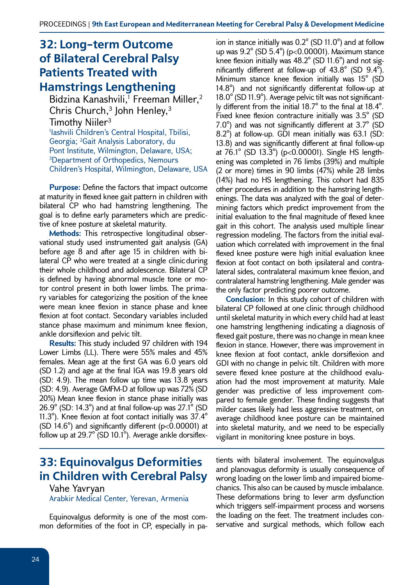## **32: Long-term Outcome of Bilateral Cerebral Palsy Patients Treated with**

#### **Hamstrings Lengthening**

Bidzina Kanashvili,<sup>1</sup> Freeman Miller,<sup>2</sup> Chris Church,<sup>3</sup> John Henley,<sup>3</sup> Timothy Niiler<sup>3</sup> 1 Iashvili Children's Central Hospital, Tbilisi, Georgia; 2 Gait Analysis Laboratory, du Pont Institute, Wilmington, Delaware, USA; 3Department of Orthopedics, Nemours Children's Hospital, Wilmington, Delaware, USA

**Purpose:** Define the factors that impact outcome at maturity in flexed knee gait pattern in children with bilateral CP who had hamstring lengthening. The goal is to define early parameters which are predictive of knee posture at skeletal maturity.

**Methods:** This retrospective longitudinal observational study used instrumented gait analysis (GA) before age 8 and after age 15 in children with bilateral CP who were treated at a single clinicduring their whole childhood and adolescence. Bilateral CP is defined by having abnormal muscle tone or motor control present in both lower limbs. The primary variables for categorizing the position of the knee were mean knee flexion in stance phase and knee flexion at foot contact. Secondary variables included stance phase maximum and minimum knee flexion, ankle dorsiflexion and pelvic tilt.

**Results:** This study included 97 children with 194 Lower Limbs (LL). There were 55% males and 45% females. Mean age at the first GA was 6.0 years old (SD 1.2) and age at the final IGA was 19.8 years old (SD: 4.9). The mean follow up time was 13.8 years (SD: 4.9). Average GMFM-D at follow up was 72% (SD 20%) Mean knee flexion in stance phase initially was 26.9° (SD: 14.3°) and at final follow-up was 27.1° (SD 11.3°). Knee flexion at foot contact initially was 37.4° (SD 14.6 $^{\circ}$ ) and significantly different (p<0.00001) at follow up at 29.7° (SD 10.1°). Average ankle dorsiflex-

ion in stance initially was 0.2° (SD 11.0°) and at follow up was 9.2° (SD 5.4°) (p<0.00001). Maximum stance knee flexion initially was 48.2° (SD 11.6°) and not significantly different at follow-up of 43.8° (SD 9.4°). Minimum stance knee flexion initially was 15° (SD 14.8°) and not significantly differentat follow-up at 18.0° (SD 11.9°). Average pelvic tilt was not significantly different from the initial 18.7° to the final at 18.4°. Fixed knee flexion contracture initially was 3.5° (SD 7.0°) and was not significantly different at 3.7° (SD 8.2°) at follow-up. GDI mean initially was 63.1 (SD: 13.8) and was significantly different at final follow-up at 76.1° (SD 13.3°) (p<0.00001). Single HS lengthening was completed in 76 limbs (39%) and multiple (2 or more) times in 90 limbs (47%) while 28 limbs (14%) had no HS lengthening. This cohort had 835 other procedures in addition to the hamstring lengthenings. The data was analyzed with the goal of determining factors which predict improvement from the initial evaluation to the final magnitude of flexed knee gait in this cohort. The analysis used multiple linear regression modeling. The factors from the initial evaluation which correlated with improvement in the final flexed knee posture were high initial evaluation knee flexion at foot contact on both ipsilateral and contralateral sides, contralateral maximum knee flexion, and contralateral hamstring lengthening. Male gender was the only factor predicting poorer outcome.

**Conclusion:** In this study cohort of children with bilateral CP followed at one clinic through childhood until skeletal maturity in which every child had at least one hamstring lengthening indicating a diagnosis of flexed gait posture, there was no change in mean knee flexion in stance. However, there was improvement in knee flexion at foot contact, ankle dorsiflexion and GDI with no change in pelvic tilt. Children with more severe flexed knee posture at the childhood evaluation had the most improvement at maturity. Male gender was predictive of less improvement compared to female gender. These finding suggests that milder cases likely had less aggressive treatment, on average childhood knee posture can be maintained into skeletal maturity, and we need to be especially vigilant in monitoring knee posture in boys.

## **33: Equinovalgus Deformities in Children with Cerebral Palsy**

#### Vahe Yavryan Arabkir Medical Center, Yerevan, Armenia

Equinovalgus deformity is one of the most common deformities of the foot in CP, especially in patients with bilateral involvement. The equinovalgus and planovagus deformity is usually consequence of wrong loading on the lower limb and impaired biomechanics. This also can be caused by muscle imbalance. These deformations bring to lever arm dysfunction which triggers self-impairment process and worsens the loading on the feet. The treatment includes conservative and surgical methods, which follow each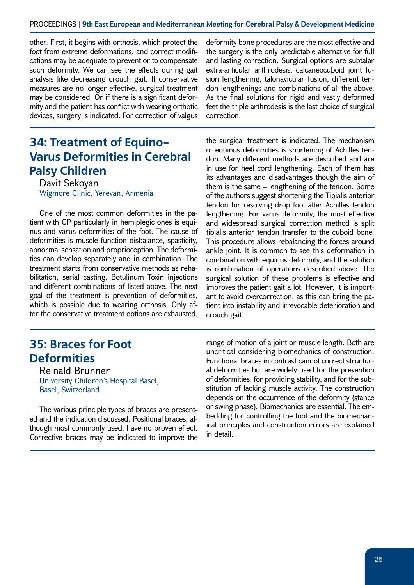other. First, it begins with orthosis, which protect the foot from extreme deformations, and correct modifications may be adequate to prevent or to compensate such deformity. We can see the effects during gait analysis like decreasing crouch gait. If conservative measures are no longer effective, surgical treatment may be considered. Or if there is a significant deformity and the patient has conflict with wearing orthotic devices, surgery is indicated. For correction of valgus

## **34: Treatment of Equino-Varus Deformities in Cerebral Palsy Children**

Davit Sekoyan Wigmore Clinic, Yerevan, Armenia

One of the most common deformities in the patient with CP particularly in hemiplegic ones is equinus and varus deformities of the foot. The cause of deformities is muscle function disbalance, spasticity, abnormal sensation and proprioception. The deformities can develop separately and in combination. The treatment starts from conservative methods as rehabilitation, serial casting, Botulinum Toxin injections and different combinations of listed above. The next goal of the treatment is prevention of deformities, which is possible due to wearing orthosis. Only after the conservative treatment options are exhausted,

#### **35: Braces for Foot Deformities**

Reinald Brunner University Children's Hospital Basel, Basel, Switzerland

The various principle types of braces are presented and the indication discussed. Positional braces, although most commonly used, have no proven effect. Corrective braces may be indicated to improve the

deformity bone procedures are the most effective and the surgery is the only predictable alternative for full and lasting correction. Surgical options are subtalar extra-articular arthrodesis, calcaneocuboid joint fusion lengthening, talonavicular fusion, different tendon lengthenings and combinations of all the above. As the final solutions for rigid and vastly deformed feet the triple arthrodesis is the last choice of surgical correction.

the surgical treatment is indicated. The mechanism of equinus deformities is shortening of Achilles tendon. Many different methods are described and are in use for heel cord lengthening. Each of them has its advantages and disadvantages though the aim of them is the same – lengthening of the tendon. Some of the authors suggest shortening the Tibialis anterior tendon for resolving drop foot after Achilles tendon lengthening. For varus deformity, the most effective and widespread surgical correction method is split tibialis anterior tendon transfer to the cuboid bone. This procedure allows rebalancing the forces around ankle joint. It is common to see this deformation in combination with equinus deformity, and the solution is combination of operations described above. The surgical solution of these problems is effective and improves the patient gait a lot. However, it is important to avoid overcorrection, as this can bring the patient into instability and irrevocable deterioration and crouch gait.

range of motion of a joint or muscle length. Both are uncritical considering biomechanics of construction. Functional braces in contrast cannot correct structural deformities but are widely used for the prevention of deformities, for providing stability, and for the substitution of lacking muscle activity. The construction depends on the occurrence of the deformity (stance or swing phase). Biomechanics are essential. The embedding for controlling the foot and the biomechanical principles and construction errors are explained in detail.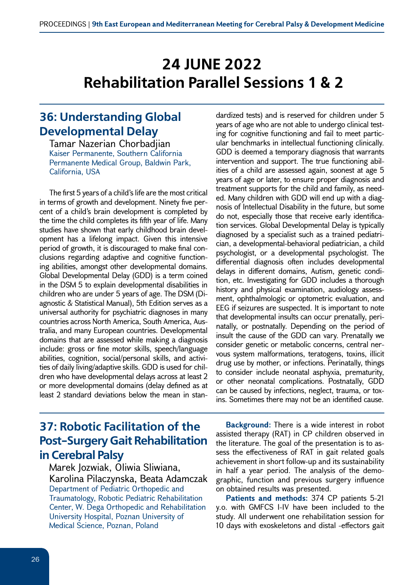# **24 JUNE 2022 Rehabilitation Parallel Sessions 1 & 2**

#### **36: Understanding Global Developmental Delay**

Tamar Nazerian Chorbadjian Kaiser Permanente, Southern California Permanente Medical Group, Baldwin Park, California, USA

The first 5 years of a child's life are the most critical in terms of growth and development. Ninety five percent of a child's brain development is completed by the time the child completes its fifth year of life. Many studies have shown that early childhood brain development has a lifelong impact. Given this intensive period of growth, it is discouraged to make final conclusions regarding adaptive and cognitive functioning abilities, amongst other developmental domains. Global Developmental Delay (GDD) is a term coined in the DSM 5 to explain developmental disabilities in children who are under 5 years of age. The DSM (Diagnostic & Statistical Manual), 5th Edition serves as a universal authority for psychiatric diagnoses in many countries across North America, South America, Australia, and many European countries. Developmental domains that are assessed while making a diagnosis include: gross or fine motor skills, speech/language abilities, cognition, social/personal skills, and activities of daily living/adaptive skills. GDD is used for children who have developmental delays across at least 2 or more developmental domains (delay defined as at least 2 standard deviations below the mean in stan-

dardized tests) and is reserved for children under 5 years of age who are not able to undergo clinical testing for cognitive functioning and fail to meet particular benchmarks in intellectual functioning clinically. GDD is deemed a temporary diagnosis that warrants intervention and support. The true functioning abilities of a child are assessed again, soonest at age 5 years of age or later, to ensure proper diagnosis and treatment supports for the child and family, as needed. Many children with GDD will end up with a diagnosis of Intellectual Disability in the future, but some do not, especially those that receive early identification services. Global Developmental Delay is typically diagnosed by a specialist such as a trained pediatrician, a developmental-behavioral pediatrician, a child psychologist, or a developmental psychologist. The differential diagnosis often includes developmental delays in different domains, Autism, genetic condition, etc. Investigating for GDD includes a thorough history and physical examination, audiology assessment, ophthalmologic or optometric evaluation, and EEG if seizures are suspected. It is important to note that developmental insults can occur prenatally, perinatally, or postnatally. Depending on the period of insult the cause of the GDD can vary. Prenatally we consider genetic or metabolic concerns, central nervous system malformations, teratogens, toxins, illicit drug use by mother, or infections. Perinatally, things to consider include neonatal asphyxia, prematurity, or other neonatal complications. Postnatally, GDD can be caused by infections, neglect, trauma, or toxins. Sometimes there may not be an identified cause.

### **37: Robotic Facilitation of the Post-Surgery Gait Rehabilitation in Cerebral Palsy**

Marek Jozwiak, Oliwia Sliwiana, Karolina Pilaczynska, Beata Adamczak Department of Pediatric Orthopedic and Traumatology, Robotic Pediatric Rehabilitation Center, W. Dega Orthopedic and Rehabilitation University Hospital, Poznan University of Medical Science, Poznan, Poland

**Background:** There is a wide interest in robot assisted therapy (RAT) in CP children observed in the literature. The goal of the presentation is to assess the effectiveness of RAT in gait related goals achievement in short follow-up and its sustainability in half a year period. The analysis of the demographic, function and previous surgery influence on obtained results was presented.

**Patients and methods:** 374 CP patients 5-21 y.o. with GMFCS I-IV have been included to the study. All underwent one rehabilitation session for 10 days with exoskeletons and distal -effectors gait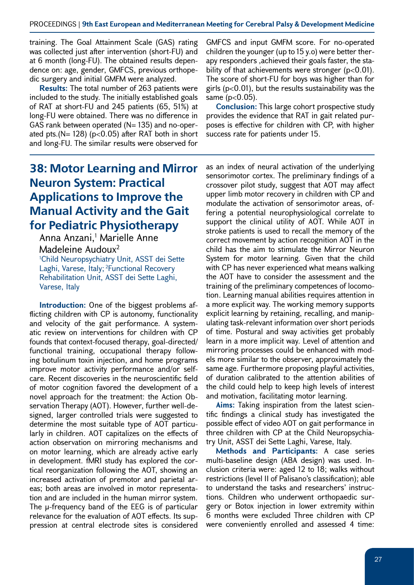training. The Goal Attainment Scale (GAS) rating was collected just after intervention (short-FU) and at 6 month (long-FU). The obtained results dependence on: age, gender, GMFCS, previous orthopedic surgery and initial GMFM were analyzed.

**Results:** The total number of 263 patients were included to the study. The initially established goals of RAT at short-FU and 245 patients (65, 51%) at long-FU were obtained. There was no difference in GAS rank between operated  $(N= 135)$  and no-operated pts.( $N = 128$ ) ( $p < 0.05$ ) after RAT both in short and long-FU. The similar results were observed for

## **38: Motor Learning and Mirror Neuron System: Practical Applications to Improve the Manual Activity and the Gait for Pediatric Physiotherapy**

Anna Anzani,<sup>1</sup> Marielle Anne Madeleine Audoux2 1 Child Neuropsychiatry Unit, ASST dei Sette Laghi, Varese, Italy; 2Functional Recovery

Rehabilitation Unit, ASST dei Sette Laghi, Varese, Italy

**Introduction:** One of the biggest problems afflicting children with CP is autonomy, functionality and velocity of the gait performance. A systematic review on interventions for children with CP founds that context-focused therapy, goal-directed/ functional training, occupational therapy following botulinum toxin injection, and home programs improve motor activity performance and/or selfcare. Recent discoveries in the neuroscientific field of motor cognition favored the development of a novel approach for the treatment: the Action Observation Therapy (AOT). However, further well-designed, larger controlled trials were suggested to determine the most suitable type of AOT particularly in children. AOT capitalizes on the effects of action observation on mirroring mechanisms and on motor learning, which are already active early in development. fMRI study has explored the cortical reorganization following the AOT, showing an increased activation of premotor and parietal areas; both areas are involved in motor representation and are included in the human mirror system. The µ-frequency band of the EEG is of particular relevance for the evaluation of AOT effects. Its suppression at central electrode sites is considered

GMFCS and input GMFM score. For no-operated children the younger (up to 15 y.o) were better therapy responders ,achieved their goals faster, the stability of that achievements were stronger ( $p<0.01$ ). The score of short-FU for boys was higher than for girls ( $p<0.01$ ), but the results sustainability was the same (p<0.05).

**Conclusion:** This large cohort prospective study provides the evidence that RAT in gait related purposes is effective for children with CP, with higher success rate for patients under 15.

as an index of neural activation of the underlying sensorimotor cortex. The preliminary findings of a crossover pilot study, suggest that AOT may affect upper limb motor recovery in children with CP and modulate the activation of sensorimotor areas, offering a potential neurophysiological correlate to support the clinical utility of AOT. While AOT in stroke patients is used to recall the memory of the correct movement by action recognition AOT in the child has the aim to stimulate the Mirror Neuron System for motor learning. Given that the child with CP has never experienced what means walking the AOT have to consider the assessment and the training of the preliminary competences of locomotion. Learning manual abilities requires attention in a more explicit way. The working memory supports explicit learning by retaining, recalling, and manipulating task-relevant information over short periods of time. Postural and sway activities get probably learn in a more implicit way. Level of attention and mirroring processes could be enhanced with models more similar to the observer, approximately the same age. Furthermore proposing playful activities, of duration calibrated to the attention abilities of the child could help to keep high levels of interest and motivation, facilitating motor learning.

**Aims:** Taking inspiration from the latest scientific findings a clinical study has investigated the possible effect of video AOT on gait performance in three children with CP at the Child Neuropsychiatry Unit, ASST dei Sette Laghi, Varese, Italy.

**Methods and Participants:** A case series multi-baseline design (ABA design) was used. Inclusion criteria were: aged 12 to 18; walks without restrictions (level II of Palisano's classification); able to understand the tasks and researchers' instructions. Children who underwent orthopaedic surgery or Botox injection in lower extremity within 6 months were excluded Three children with CP were conveniently enrolled and assessed 4 time: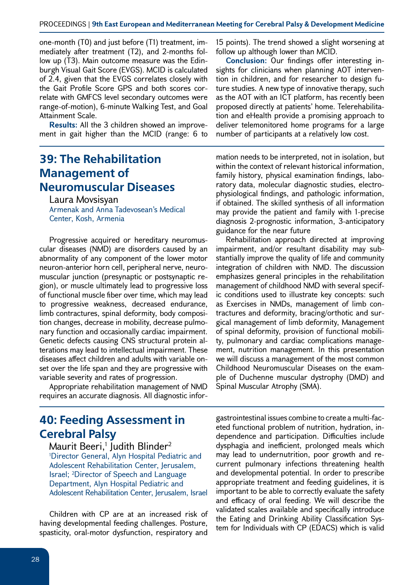one-month (T0) and just before (T1) treatment, immediately after treatment (T2), and 2-months follow up (T3). Main outcome measure was the Edinburgh Visual Gait Score (EVGS). MCID is calculated of 2.4, given that the EVGS correlates closely with the Gait Profile Score GPS and both scores correlate with GMFCS level secondary outcomes were range-of-motion), 6-minute Walking Test, and Goal Attainment Scale.

**Results:** All the 3 children showed an improvement in gait higher than the MCID (range: 6 to

#### **39: The Rehabilitation Management of Neuromuscular Diseases**

Laura Movsisyan Armenak and Anna Tadevosean's Medical Center, Kosh, Armenia

Progressive acquired or hereditary neuromuscular diseases (NMD) are disorders caused by an abnormality of any component of the lower motor neuron-anterior horn cell, peripheral nerve, neuromuscular junction (presynaptic or postsynaptic region), or muscle ultimately lead to progressive loss of functional muscle fiber over time, which may lead to progressive weakness, decreased endurance, limb contractures, spinal deformity, body composition changes, decrease in mobility, decrease pulmonary function and occasionally cardiac impairment. Genetic defects causing CNS structural protein alterations may lead to intellectual impairment. These diseases affect children and adults with variable onset over the life span and they are progressive with variable severity and rates of progression.

Appropriate rehabilitation management of NMD requires an accurate diagnosis. All diagnostic infor-

#### **40: Feeding Assessment in Cerebral Palsy**

Maurit Beeri, $^1$  Judith Blinder $^2$ 1 Director General, Alyn Hospital Pediatric and Adolescent Rehabilitation Center, Jerusalem, Israel; 2 Director of Speech and Language Department, Alyn Hospital Pediatric and Adolescent Rehabilitation Center, Jerusalem, Israel

Children with CP are at an increased risk of having developmental feeding challenges. Posture, spasticity, oral-motor dysfunction, respiratory and

15 points). The trend showed a slight worsening at follow up although lower than MCID.

**Conclusion:** Our findings offer interesting insights for clinicians when planning AOT intervention in children, and for researcher to design future studies. A new type of innovative therapy, such as the AOT with an ICT platform, has recently been proposed directly at patients' home. Telerehabilitation and eHealth provide a promising approach to deliver telemonitored home programs for a large number of participants at a relatively low cost.

mation needs to be interpreted, not in isolation, but within the context of relevant historical information, family history, physical examination findings, laboratory data, molecular diagnostic studies, electrophysiological findings, and pathologic information, if obtained. The skilled synthesis of all information may provide the patient and family with 1-precise diagnosis 2-prognostic information, 3-anticipatory guidance for the near future

Rehabilitation approach directed at improving impairment, and/or resultant disability may substantially improve the quality of life and community integration of children with NMD. The discussion emphasizes general principles in the rehabilitation management of childhood NMD with several specific conditions used to illustrate key concepts: such as Exercises in NMDs, management of limb contractures and deformity, bracing/orthotic and surgical management of limb deformity, Management of spinal deformity, provision of functional mobility, pulmonary and cardiac complications management, nutrition management. In this presentation we will discuss a management of the most common Childhood Neuromuscular Diseases on the example of Duchenne muscular dystrophy (DMD) and Spinal Muscular Atrophy (SMA).

gastrointestinal issues combine to create a multi-faceted functional problem of nutrition, hydration, independence and participation. Difficulties include dysphagia and inefficient, prolonged meals which may lead to undernutrition, poor growth and recurrent pulmonary infections threatening health and developmental potential. In order to prescribe appropriate treatment and feeding guidelines, it is important to be able to correctly evaluate the safety and efficacy of oral feeding. We will describe the validated scales available and specifically introduce the Eating and Drinking Ability Classification System for Individuals with CP (EDACS) which is valid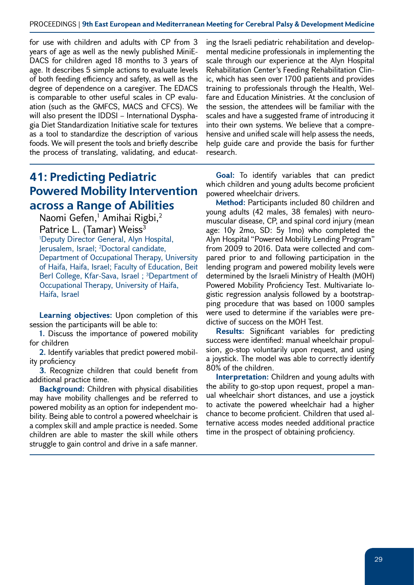#### PROCEEDINGS | **9th East European and Mediterranean Meeting for Cerebral Palsy & Development Medicine**

for use with children and adults with CP from 3 years of age as well as the newly published MiniE-DACS for children aged 18 months to 3 years of age. It describes 5 simple actions to evaluate levels of both feeding efficiency and safety, as well as the degree of dependence on a caregiver. The EDACS is comparable to other useful scales in CP evaluation (such as the GMFCS, MACS and CFCS). We will also present the IDDSI – International Dysphagia Diet Standardization Initiative scale for textures as a tool to standardize the description of various foods. We will present the tools and briefly describe the process of translating, validating, and educat-

ing the Israeli pediatric rehabilitation and developmental medicine professionals in implementing the scale through our experience at the Alyn Hospital Rehabilitation Center's Feeding Rehabilitation Clinic, which has seen over 1700 patients and provides training to professionals through the Health, Welfare and Education Ministries. At the conclusion of the session, the attendees will be familiar with the scales and have a suggested frame of introducing it into their own systems. We believe that a comprehensive and unified scale will help assess the needs, help guide care and provide the basis for further research.

#### **41: Predicting Pediatric Powered Mobility Intervention across a Range of Abilities**

Naomi Gefen,<sup>1</sup> Amihai Rigbi,<sup>2</sup> Patrice L. (Tamar) Weiss<sup>3</sup> 1 Deputy Director General, Alyn Hospital, Jerusalem, Israel; 2 Doctoral candidate, Department of Occupational Therapy, University of Haifa, Haifa, Israel; Faculty of Education, Beit Berl College, Kfar-Sava, Israel; <sup>3</sup>Department of Occupational Therapy, University of Haifa, Haifa, Israel

**Learning objectives:** Upon completion of this session the participants will be able to:

**1.** Discuss the importance of powered mobility for children

**2.** Identify variables that predict powered mobility proficiency

**3.** Recognize children that could benefit from additional practice time.

**Background:** Children with physical disabilities may have mobility challenges and be referred to powered mobility as an option for independent mobility. Being able to control a powered wheelchair is a complex skill and ample practice is needed. Some children are able to master the skill while others struggle to gain control and drive in a safe manner.

**Goal:** To identify variables that can predict which children and young adults become proficient powered wheelchair drivers.

**Method:** Participants included 80 children and young adults (42 males, 38 females) with neuromuscular disease, CP, and spinal cord injury (mean age: 10y 2mo, SD: 5y 1mo) who completed the Alyn Hospital "Powered Mobility Lending Program" from 2009 to 2016. Data were collected and compared prior to and following participation in the lending program and powered mobility levels were determined by the Israeli Ministry of Health (MOH) Powered Mobility Proficiency Test. Multivariate logistic regression analysis followed by a bootstrapping procedure that was based on 1000 samples were used to determine if the variables were predictive of success on the MOH Test.

**Results:** Significant variables for predicting success were identified: manual wheelchair propulsion, go-stop voluntarily upon request, and using a joystick. The model was able to correctly identify 80% of the children.

**Interpretation:** Children and young adults with the ability to go-stop upon request, propel a manual wheelchair short distances, and use a joystick to activate the powered wheelchair had a higher chance to become proficient. Children that used alternative access modes needed additional practice time in the prospect of obtaining proficiency.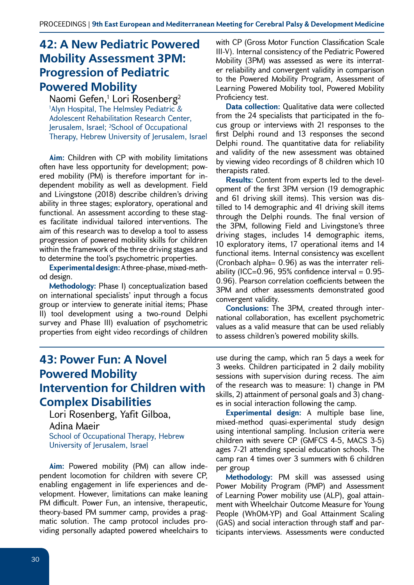#### **42: A New Pediatric Powered Mobility Assessment 3PM: Progression of Pediatric Powered Mobility**

Naomi Gefen,<sup>1</sup> Lori Rosenberg<sup>2</sup> 1 Alyn Hospital, The Helmsley Pediatric & Adolescent Rehabilitation Research Center, Jerusalem, Israel; 2 School of Occupational Therapy, Hebrew University of Jerusalem, Israel

**Aim:** Children with CP with mobility limitations often have less opportunity for development; powered mobility (PM) is therefore important for independent mobility as well as development. Field and Livingstone (2018) describe children's driving ability in three stages; exploratory, operational and functional. An assessment according to these stages facilitate individual tailored interventions. The aim of this research was to develop a tool to assess progression of powered mobility skills for children within the framework of the three driving stages and to determine the tool's psychometric properties.

**Experimental design:** A three-phase, mixed-method design.

**Methodology:** Phase I) conceptualization based on international specialists' input through a focus group or interview to generate initial items; Phase II) tool development using a two-round Delphi survey and Phase III) evaluation of psychometric properties from eight video recordings of children

with CP (Gross Motor Function Classification Scale III-V). Internal consistency of the Pediatric Powered Mobility (3PM) was assessed as were its interrater reliability and convergent validity in comparison to the Powered Mobility Program, Assessment of Learning Powered Mobility tool, Powered Mobility Proficiency test.

**Data collection:** Qualitative data were collected from the 24 specialists that participated in the focus group or interviews with 21 responses to the first Delphi round and 13 responses the second Delphi round. The quantitative data for reliability and validity of the new assessment was obtained by viewing video recordings of 8 children which 10 therapists rated.

**Results:** Content from experts led to the development of the first 3PM version (19 demographic and 61 driving skill items). This version was distilled to 14 demographic and 41 driving skill items through the Delphi rounds. The final version of the 3PM, following Field and Livingstone's three driving stages, includes 14 demographic items, 10 exploratory items, 17 operational items and 14 functional items. Internal consistency was excellent (Cronbach alpha= 0.96) as was the interrater reliability (ICC=0.96, 95% confidence interval =  $0.95$ -0.96). Pearson correlation coefficients between the 3PM and other assessments demonstrated good convergent validity.

**Conclusions:** The 3PM, created through international collaboration, has excellent psychometric values as a valid measure that can be used reliably to assess children's powered mobility skills.

#### **43: Power Fun: A Novel Powered Mobility Intervention for Children with Complex Disabilities**

Lori Rosenberg, Yafit Gilboa, Adina Maeir School of Occupational Therapy, Hebrew University of Jerusalem, Israel

**Aim:** Powered mobility (PM) can allow independent locomotion for children with severe CP, enabling engagement in life experiences and development. However, limitations can make leaning PM difficult. Power Fun, an intensive, therapeutic, theory-based PM summer camp, provides a pragmatic solution. The camp protocol includes providing personally adapted powered wheelchairs to

use during the camp, which ran 5 days a week for 3 weeks. Children participated in 2 daily mobility sessions with supervision during recess. The aim of the research was to measure: 1) change in PM skills, 2) attainment of personal goals and 3) changes in social interaction following the camp.

**Experimental design:** A multiple base line, mixed-method quasi-experimental study design using intentional sampling. Inclusion criteria were children with severe CP (GMFCS 4-5, MACS 3-5) ages 7-21 attending special education schools. The camp ran 4 times over 3 summers with 6 children per group

**Methodology:** PM skill was assessed using Power Mobility Program (PMP) and Assessment of Learning Power mobility use (ALP), goal attainment with Wheelchair Outcome Measure for Young People (WhOM-YP) and Goal Attainment Scaling (GAS) and social interaction through staff and participants interviews. Assessments were conducted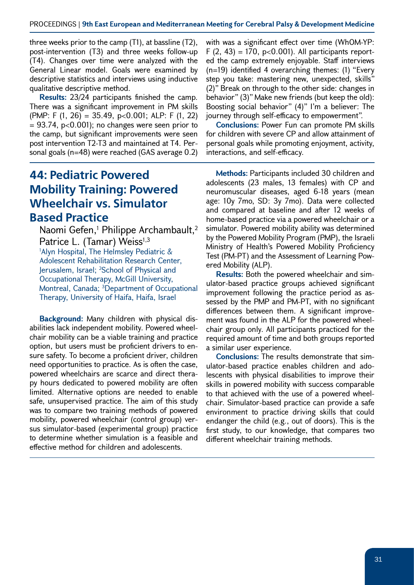three weeks prior to the camp (T1), at bassline (T2), post-intervention (T3) and three weeks follow-up (T4). Changes over time were analyzed with the General Linear model. Goals were examined by descriptive statistics and interviews using inductive qualitative descriptive method.

**Results:** 23/24 participants finished the camp. There was a significant improvement in PM skills (PMP: F  $(1, 26) = 35.49$ , p<0.001; ALP: F  $(1, 22)$  $= 93.74$ , p<0.001); no changes were seen prior to the camp, but significant improvements were seen post intervention T2-T3 and maintained at T4. Personal goals (n=48) were reached (GAS average 0.2)

## **44: Pediatric Powered Mobility Training: Powered Wheelchair vs. Simulator Based Practice**

Naomi Gefen, $^1$  Philippe Archambault, $^2$ Patrice L. (Tamar) Weiss<sup>1,3</sup> 1 Alyn Hospital, The Helmsley Pediatric & Adolescent Rehabilitation Research Center, Jerusalem, Israel; 2 School of Physical and Occupational Therapy, McGill University, Montreal, Canada; 3Department of Occupational Therapy, University of Haifa, Haifa, Israel

**Background:** Many children with physical disabilities lack independent mobility. Powered wheelchair mobility can be a viable training and practice option, but users must be proficient drivers to ensure safety. To become a proficient driver, children need opportunities to practice. As is often the case, powered wheelchairs are scarce and direct therapy hours dedicated to powered mobility are often limited. Alternative options are needed to enable safe, unsupervised practice. The aim of this study was to compare two training methods of powered mobility, powered wheelchair (control group) versus simulator-based (experimental group) practice to determine whether simulation is a feasible and effective method for children and adolescents.

with was a significant effect over time (WhOM-YP:  $F(2, 43) = 170$ , p<0.001). All participants reported the camp extremely enjoyable. Staff interviews (n=19) identified 4 overarching themes: (1) "Every step you take: mastering new, unexpected, skills" (2)" Break on through to the other side: changes in behavior" (3)" Make new friends (but keep the old): Boosting social behavior" (4)" I'm a believer: The journey through self-efficacy to empowerment".

**Conclusions:** Power Fun can promote PM skills for children with severe CP and allow attainment of personal goals while promoting enjoyment, activity, interactions, and self-efficacy.

**Methods:** Participants included 30 children and adolescents (23 males, 13 females) with CP and neuromuscular diseases, aged 6-18 years (mean age: 10y 7mo, SD: 3y 7mo). Data were collected and compared at baseline and after 12 weeks of home-based practice via a powered wheelchair or a simulator. Powered mobility ability was determined by the Powered Mobility Program (PMP), the Israeli Ministry of Health's Powered Mobility Proficiency Test (PM-PT) and the Assessment of Learning Powered Mobility (ALP).

**Results:** Both the powered wheelchair and simulator-based practice groups achieved significant improvement following the practice period as assessed by the PMP and PM-PT, with no significant differences between them. A significant improvement was found in the ALP for the powered wheelchair group only. All participants practiced for the required amount of time and both groups reported a similar user experience.

**Conclusions:** The results demonstrate that simulator-based practice enables children and adolescents with physical disabilities to improve their skills in powered mobility with success comparable to that achieved with the use of a powered wheelchair. Simulator-based practice can provide a safe environment to practice driving skills that could endanger the child (e.g., out of doors). This is the first study, to our knowledge, that compares two different wheelchair training methods.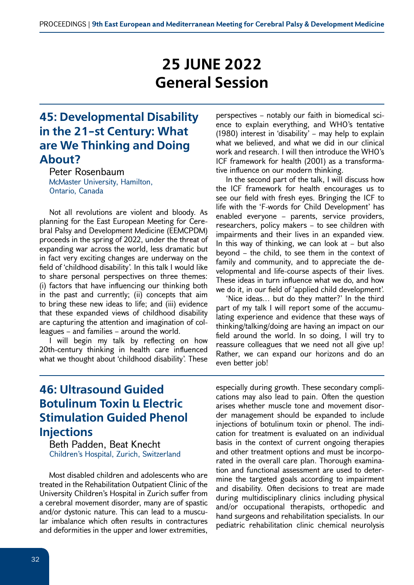# **25 JUNE 2022 General Session**

## **45: Developmental Disability in the 21-st Century: What are We Thinking and Doing About?**

Peter Rosenbaum McMaster University, Hamilton, Ontario, Canada

Not all revolutions are violent and bloody. As planning for the East European Meeting for Cerebral Palsy and Development Medicine (EEMCPDM) proceeds in the spring of 2022, under the threat of expanding war across the world, less dramatic but in fact very exciting changes are underway on the field of 'childhood disability'. In this talk I would like to share personal perspectives on three themes: (i) factors that have influencing our thinking both in the past and currently; (ii) concepts that aim to bring these new ideas to life; and (iii) evidence that these expanded views of childhood disability are capturing the attention and imagination of colleagues – and families – around the world.

I will begin my talk by reflecting on how 20th-century thinking in health care influenced what we thought about 'childhood disability'. These

perspectives – notably our faith in biomedical science to explain everything, and WHO's tentative (1980) interest in 'disability' – may help to explain what we believed, and what we did in our clinical work and research. I will then introduce the WHO's ICF framework for health (2001) as a transformative influence on our modern thinking.

In the second part of the talk, I will discuss how the ICF framework for health encourages us to see our field with fresh eyes. Bringing the ICF to life with the 'F-words for Child Development' has enabled everyone – parents, service providers, researchers, policy makers – to see children with impairments and their lives in an expanded view. In this way of thinking, we can look at  $-$  but also beyond – the child, to see them in the context of family and community, and to appreciate the developmental and life-course aspects of their lives. These ideas in turn influence what we do, and how we do it, in our field of 'applied child development'.

'Nice ideas… but do they matter?' In the third part of my talk I will report some of the accumulating experience and evidence that these ways of thinking/talking/doing are having an impact on our field around the world. In so doing, I will try to reassure colleagues that we need not all give up! Rather, we can expand our horizons and do an even better job!

## **46: Ultrasound Guided Botulinum Toxin L Electric Stimulation Guided Phenol Injections**

Beth Padden, Beat Knecht Children's Hospital, Zurich, Switzerland

Most disabled children and adolescents who are treated in the Rehabilitation Outpatient Clinic of the University Children's Hospital in Zurich suffer from a cerebral movement disorder, many are of spastic and/or dystonic nature. This can lead to a muscular imbalance which often results in contractures and deformities in the upper and lower extremities,

especially during growth. These secondary complications may also lead to pain. Often the question arises whether muscle tone and movement disorder management should be expanded to include injections of botulinum toxin or phenol. The indication for treatment is evaluated on an individual basis in the context of current ongoing therapies and other treatment options and must be incorporated in the overall care plan. Thorough examination and functional assessment are used to determine the targeted goals according to impairment and disability. Often decisions to treat are made during multidisciplinary clinics including physical and/or occupational therapists, orthopedic and hand surgeons and rehabilitation specialists. In our pediatric rehabilitation clinic chemical neurolysis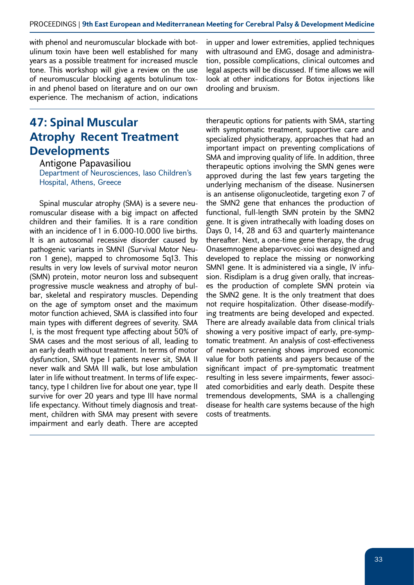with phenol and neuromuscular blockade with botulinum toxin have been well established for many years as a possible treatment for increased muscle tone. This workshop will give a review on the use of neuromuscular blocking agents botulinum toxin and phenol based on literature and on our own experience. The mechanism of action, indications

## **47: Spinal Muscular Atrophy Recent Treatment Developments**

Antigone Papavasiliou Department of Neurosciences, Iaso Children's Hospital, Athens, Greece

Spinal muscular atrophy (SMA) is a severe neuromuscular disease with a big impact on affected children and their families. It is a rare condition with an incidence of 1 in 6.000-10.000 live births. It is an autosomal recessive disorder caused by pathogenic variants in SMN1 (Survival Motor Neuron 1 gene), mapped to chromosome 5q13. This results in very low levels of survival motor neuron (SMN) protein, motor neuron loss and subsequent progressive muscle weakness and atrophy of bulbar, skeletal and respiratory muscles. Depending on the age of symptom onset and the maximum motor function achieved, SMA is classified into four main types with different degrees of severity. SMA I, is the most frequent type affecting about 50% of SMA cases and the most serious of all, leading to an early death without treatment. In terms of motor dysfunction, SMA type I patients never sit, SMA II never walk and SMA III walk, but lose ambulation later in life without treatment. In terms of life expectancy, type I children live for about one year, type II survive for over 20 years and type III have normal life expectancy. Without timely diagnosis and treatment, children with SMA may present with severe impairment and early death. There are accepted

in upper and lower extremities, applied techniques with ultrasound and EMG, dosage and administration, possible complications, clinical outcomes and legal aspects will be discussed. If time allows we will look at other indications for Botox injections like drooling and bruxism.

therapeutic options for patients with SMA, starting with symptomatic treatment, supportive care and specialized physiotherapy, approaches that had an important impact on preventing complications of SMA and improving quality of life. In addition, three therapeutic options involving the SMN genes were approved during the last few years targeting the underlying mechanism of the disease. Nusinersen is an antisense oligonucleotide, targeting exon 7 of the SMN2 gene that enhances the production of functional, full-length SMN protein by the SMN2 gene. It is given intrathecally with loading doses on Days 0, 14, 28 and 63 and quarterly maintenance thereafter. Next, a one-time gene therapy, the drug Onasemnogene abeparvovec-xioi was designed and developed to replace the missing or nonworking SMN1 gene. It is administered via a single, IV infusion. Risdiplam is a drug given orally, that increases the production of complete SMN protein via the SMN2 gene. It is the only treatment that does not require hospitalization. Other disease-modifying treatments are being developed and expected. There are already available data from clinical trials showing a very positive impact of early, pre-symptomatic treatment. An analysis of cost-effectiveness of newborn screening shows improved economic value for both patients and payers because of the significant impact of pre-symptomatic treatment resulting in less severe impairments, fewer associated comorbidities and early death. Despite these tremendous developments, SMA is a challenging disease for health care systems because of the high costs of treatments.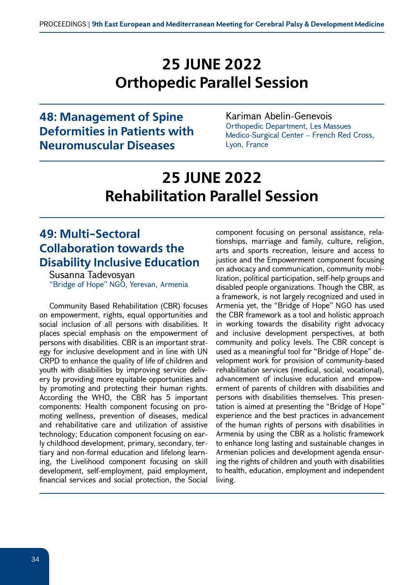# **25 JUNE 2022 Orthopedic Parallel Session**

#### **48: Management of Spine Deformities in Patients with Neuromuscular Diseases**

#### Kariman Abelin-Genevois Orthopedic Department, Les Massues Medico-Surgical Center – French Red Cross, Lyon, France

# **25 JUNE 2022 Rehabilitation Parallel Session**

## **49: Multi-Sectoral Collaboration towards the Disability Inclusive Education**

Susanna Tadevosyan "Bridge of Hope" NGO, Yerevan, Armenia

Community Based Rehabilitation (CBR) focuses on empowerment, rights, equal opportunities and social inclusion of all persons with disabilities. It places special emphasis on the empowerment of persons with disabilities. CBR is an important strategy for inclusive development and in line with UN CRPD to enhance the quality of life of children and youth with disabilities by improving service delivery by providing more equitable opportunities and by promoting and protecting their human rights. According the WHO, the CBR has 5 important components: Health component focusing on promoting wellness, prevention of diseases, medical and rehabilitative care and utilization of assistive technology; Education component focusing on early childhood development, primary, secondary, tertiary and non-formal education and lifelong learning, the Livelihood component focusing on skill development, self-employment, paid employment, financial services and social protection, the Social

component focusing on personal assistance, relationships, marriage and family, culture, religion, arts and sports recreation, leisure and access to justice and the Empowerment component focusing on advocacy and communication, community mobilization, political participation, self-help groups and disabled people organizations. Though the CBR, as a framework, is not largely recognized and used in Armenia yet, the "Bridge of Hope" NGO has used the CBR framework as a tool and holistic approach in working towards the disability right advocacy and inclusive development perspectives, at both community and policy levels. The CBR concept is used as a meaningful tool for "Bridge of Hope" development work for provision of community-based rehabilitation services (medical, social, vocational), advancement of inclusive education and empowerment of parents of children with disabilities and persons with disabilities themselves. This presentation is aimed at presenting the "Bridge of Hope" experience and the best practices in advancement of the human rights of persons with disabilities in Armenia by using the CBR as a holistic framework to enhance long lasting and sustainable changes in Armenian policies and development agenda ensuring the rights of children and youth with disabilities to health, education, employment and independent living.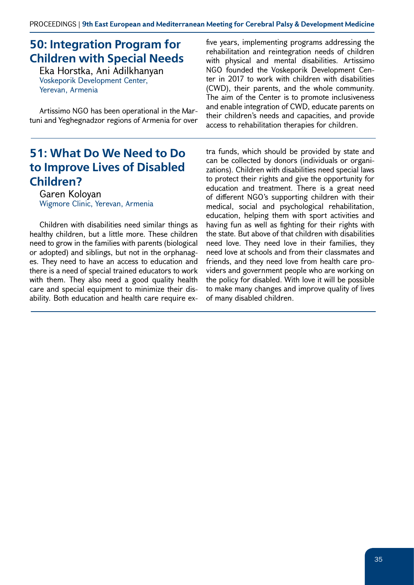## **50: Integration Program for Children with Special Needs**

Eka Horstka, Ani Adilkhanyan Voskeporik Development Center, Yerevan, Armenia

Artissimo NGO has been operational in the Martuni and Yeghegnadzor regions of Armenia for over

#### **51: What Do We Need to Do to Improve Lives of Disabled Children?**

Garen Koloyan Wigmore Clinic, Yerevan, Armenia

Children with disabilities need similar things as healthy children, but a little more. These children need to grow in the families with parents (biological or adopted) and siblings, but not in the orphanages. They need to have an access to education and there is a need of special trained educators to work with them. They also need a good quality health care and special equipment to minimize their disability. Both education and health care require ex-

five years, implementing programs addressing the rehabilitation and reintegration needs of children with physical and mental disabilities. Artissimo NGO founded the Voskeporik Development Center in 2017 to work with children with disabilities (CWD), their parents, and the whole community. The aim of the Center is to promote inclusiveness and enable integration of CWD, educate parents on their children's needs and capacities, and provide access to rehabilitation therapies for children.

tra funds, which should be provided by state and can be collected by donors (individuals or organizations). Children with disabilities need special laws to protect their rights and give the opportunity for education and treatment. There is a great need of different NGO's supporting children with their medical, social and psychological rehabilitation, education, helping them with sport activities and having fun as well as fighting for their rights with the state. But above of that children with disabilities need love. They need love in their families, they need love at schools and from their classmates and friends, and they need love from health care providers and government people who are working on the policy for disabled. With love it will be possible to make many changes and improve quality of lives of many disabled children.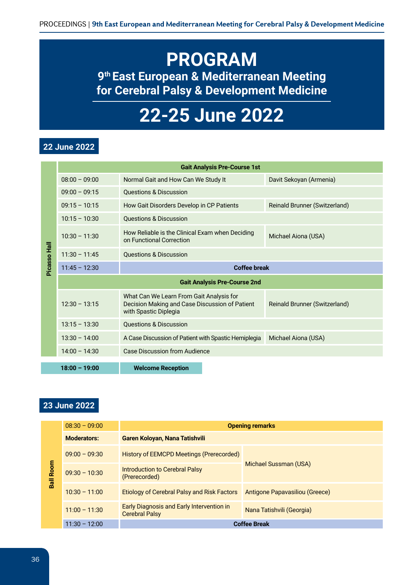# **PROGRAM 9th East European & Mediterranean Meeting for Cerebral Palsy & Development Medicine**

# **22-25 June 2022**

#### **22 June 2022**

|              |                                     | <b>Gait Analysis Pre-Course 1st</b>                                                                                 |                                      |
|--------------|-------------------------------------|---------------------------------------------------------------------------------------------------------------------|--------------------------------------|
|              | $08:00 - 09:00$                     | Normal Gait and How Can We Study It                                                                                 | Davit Sekoyan (Armenia)              |
|              | $09:00 - 09:15$                     | <b>Questions &amp; Discussion</b>                                                                                   |                                      |
|              | $09:15 - 10:15$                     | How Gait Disorders Develop in CP Patients                                                                           | <b>Reinald Brunner (Switzerland)</b> |
|              | $10:15 - 10:30$                     | <b>Questions &amp; Discussion</b>                                                                                   |                                      |
|              | $10:30 - 11:30$                     | How Reliable is the Clinical Exam when Deciding<br>on Functional Correction                                         | Michael Aiona (USA)                  |
|              | $11:30 - 11:45$                     | <b>Questions &amp; Discussion</b>                                                                                   |                                      |
| Picasso Hall | $11:45 - 12:30$                     | <b>Coffee break</b>                                                                                                 |                                      |
|              | <b>Gait Analysis Pre-Course 2nd</b> |                                                                                                                     |                                      |
|              | $12:30 - 13:15$                     | What Can We Learn From Gait Analysis for<br>Decision Making and Case Discussion of Patient<br>with Spastic Diplegia | Reinald Brunner (Switzerland)        |
|              | $13:15 - 13:30$                     | <b>Questions &amp; Discussion</b>                                                                                   |                                      |
|              | $13:30 - 14:00$                     | A Case Discussion of Patient with Spastic Hemiplegia                                                                | Michael Aiona (USA)                  |
|              | $14:00 - 14:30$                     | Case Discussion from Audience                                                                                       |                                      |
|              | $18:00 - 19:00$                     | <b>Welcome Reception</b>                                                                                            |                                      |
|              |                                     |                                                                                                                     |                                      |
|              |                                     |                                                                                                                     |                                      |
|              | 23 June 2022                        |                                                                                                                     |                                      |

|      | $08:30 - 09:00$    | <b>Opening remarks</b>                                             |                                |
|------|--------------------|--------------------------------------------------------------------|--------------------------------|
|      | <b>Moderators:</b> | Garen Koloyan, Nana Tatishvili                                     |                                |
|      | $09:00 - 09:30$    | <b>History of EEMCPD Meetings (Prerecorded)</b>                    |                                |
| Room | $09:30 - 10:30$    | <b>Introduction to Cerebral Palsy</b><br>(Prerecorded)             | Michael Sussman (USA)          |
| Ball | $10:30 - 11:00$    | <b>Etiology of Cerebral Palsy and Risk Factors</b>                 | Antigone Papavasiliou (Greece) |
|      | $11:00 - 11:30$    | Early Diagnosis and Early Intervention in<br><b>Cerebral Palsy</b> | Nana Tatishvili (Georgia)      |
|      | $11:30 - 12:00$    |                                                                    | <b>Coffee Break</b>            |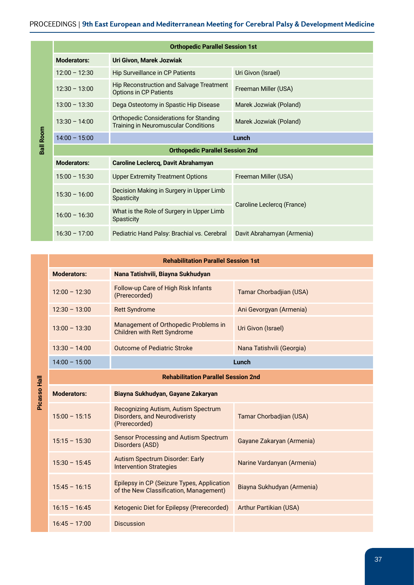#### PROCEEDINGS | **9th East European and Mediterranean Meeting for Cerebral Palsy & Development Medicine**

|                  |                                        | <b>Orthopedic Parallel Session 1st</b>                                                       |                            |
|------------------|----------------------------------------|----------------------------------------------------------------------------------------------|----------------------------|
|                  | <b>Moderators:</b>                     | Uri Givon, Marek Jozwiak                                                                     |                            |
|                  | $12:00 - 12:30$                        | <b>Hip Surveillance in CP Patients</b>                                                       | Uri Givon (Israel)         |
|                  | $12:30 - 13:00$                        | <b>Hip Reconstruction and Salvage Treatment</b><br><b>Options in CP Patients</b>             | Freeman Miller (USA)       |
|                  | $13:00 - 13:30$                        | Dega Osteotomy in Spastic Hip Disease                                                        | Marek Jozwiak (Poland)     |
| <b>Ball Room</b> | $13:30 - 14:00$                        | <b>Orthopedic Considerations for Standing</b><br><b>Training in Neuromuscular Conditions</b> | Marek Jozwiak (Poland)     |
|                  | $14:00 - 15:00$                        |                                                                                              | Lunch                      |
|                  | <b>Orthopedic Parallel Session 2nd</b> |                                                                                              |                            |
|                  | <b>Moderators:</b>                     | Caroline Leclercq, Davit Abrahamyan                                                          |                            |
|                  | $15:00 - 15:30$                        | <b>Upper Extremity Treatment Options</b>                                                     | Freeman Miller (USA)       |
|                  | $15:30 - 16:00$                        | Decision Making in Surgery in Upper Limb<br>Spasticity                                       | Caroline Leclercq (France) |
|                  | $16:00 - 16:30$                        | What is the Role of Surgery in Upper Limb<br><b>Spasticity</b>                               |                            |
|                  | $16:30 - 17:00$                        | Pediatric Hand Palsy: Brachial vs. Cerebral                                                  | Davit Abrahamyan (Armenia) |

| <b>Rehabilitation Parallel Session 1st</b> |                                                                            |                           |  |
|--------------------------------------------|----------------------------------------------------------------------------|---------------------------|--|
| <b>Moderators:</b>                         | Nana Tatishvili, Biayna Sukhudyan                                          |                           |  |
| $12:00 - 12:30$                            | Follow-up Care of High Risk Infants<br>(Prerecorded)                       | Tamar Chorbadjian (USA)   |  |
| $12:30 - 13:00$                            | <b>Rett Syndrome</b>                                                       | Ani Gevorgyan (Armenia)   |  |
| $13:00 - 13:30$                            | Management of Orthopedic Problems in<br><b>Children with Rett Syndrome</b> | Uri Givon (Israel)        |  |
| $13:30 - 14:00$                            | <b>Outcome of Pediatric Stroke</b>                                         | Nana Tatishvili (Georgia) |  |
| $14:00 - 15:00$                            |                                                                            | Lunch                     |  |
|                                            |                                                                            |                           |  |

Picasso Hall **Picasso Hall**

| $14:00 - 15:00$    |                                                                                       | Lunch                         |  |
|--------------------|---------------------------------------------------------------------------------------|-------------------------------|--|
|                    | <b>Rehabilitation Parallel Session 2nd</b>                                            |                               |  |
| <b>Moderators:</b> | Biayna Sukhudyan, Gayane Zakaryan                                                     |                               |  |
| $15:00 - 15:15$    | Recognizing Autism, Autism Spectrum<br>Disorders, and Neurodiveristy<br>(Prerecorded) | Tamar Chorbadjian (USA)       |  |
| $15:15 - 15:30$    | Sensor Processing and Autism Spectrum<br>Disorders (ASD)                              | Gayane Zakaryan (Armenia)     |  |
| $15:30 - 15:45$    | Autism Spectrum Disorder: Early<br><b>Intervention Strategies</b>                     | Narine Vardanyan (Armenia)    |  |
| $15:45 - 16:15$    | Epilepsy in CP (Seizure Types, Application<br>of the New Classification, Management)  | Biayna Sukhudyan (Armenia)    |  |
| $16:15 - 16:45$    | Ketogenic Diet for Epilepsy (Prerecorded)                                             | <b>Arthur Partikian (USA)</b> |  |
| $16:45 - 17:00$    | <b>Discussion</b>                                                                     |                               |  |

37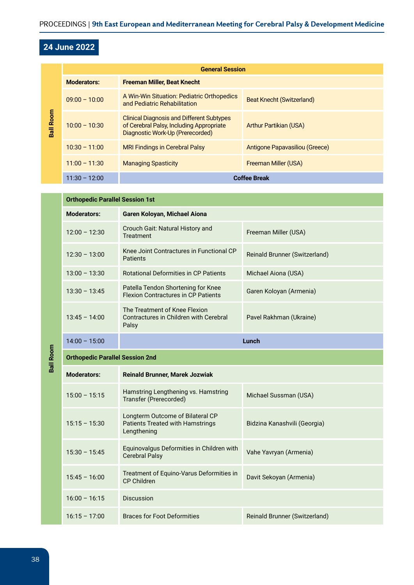#### **24 June 2022**

| <b>Ball Room</b> | <b>General Session</b> |                                                                                                                                  |                                |
|------------------|------------------------|----------------------------------------------------------------------------------------------------------------------------------|--------------------------------|
|                  | <b>Moderators:</b>     | <b>Freeman Miller, Beat Knecht</b>                                                                                               |                                |
|                  | $09:00 - 10:00$        | A Win-Win Situation: Pediatric Orthopedics<br>and Pediatric Rehabilitation                                                       | Beat Knecht (Switzerland)      |
|                  | $10:00 - 10:30$        | <b>Clinical Diagnosis and Different Subtypes</b><br>of Cerebral Palsy, Including Appropriate<br>Diagnostic Work-Up (Prerecorded) | <b>Arthur Partikian (USA)</b>  |
|                  | $10:30 - 11:00$        | <b>MRI Findings in Cerebral Palsy</b>                                                                                            | Antigone Papavasiliou (Greece) |
|                  | $11:00 - 11:30$        | <b>Managing Spasticity</b>                                                                                                       | Freeman Miller (USA)           |
|                  | $11:30 - 12:00$        |                                                                                                                                  | <b>Coffee Break</b>            |

|                  | <b>Orthopedic Parallel Session 1st</b> |                                                                                            |                               |  |
|------------------|----------------------------------------|--------------------------------------------------------------------------------------------|-------------------------------|--|
|                  | <b>Moderators:</b>                     | Garen Koloyan, Michael Aiona                                                               |                               |  |
|                  | $12:00 - 12:30$                        | Crouch Gait: Natural History and<br><b>Treatment</b>                                       | Freeman Miller (USA)          |  |
|                  | $12:30 - 13:00$                        | Knee Joint Contractures in Functional CP<br>Patients                                       | Reinald Brunner (Switzerland) |  |
|                  | $13:00 - 13:30$                        | <b>Rotational Deformities in CP Patients</b>                                               | Michael Aiona (USA)           |  |
|                  | $13:30 - 13:45$                        | Patella Tendon Shortening for Knee<br><b>Flexion Contractures in CP Patients</b>           | Garen Koloyan (Armenia)       |  |
| <b>Ball Room</b> | $13:45 - 14:00$                        | The Treatment of Knee Flexion<br>Contractures in Children with Cerebral<br>Palsy           | Pavel Rakhman (Ukraine)       |  |
|                  | $14:00 - 15:00$                        | Lunch                                                                                      |                               |  |
|                  | <b>Orthopedic Parallel Session 2nd</b> |                                                                                            |                               |  |
|                  | <b>Moderators:</b>                     | <b>Reinald Brunner, Marek Jozwiak</b>                                                      |                               |  |
|                  | $15:00 - 15:15$                        | Hamstring Lengthening vs. Hamstring<br>Transfer (Prerecorded)                              | Michael Sussman (USA)         |  |
|                  | $15:15 - 15:30$                        | Longterm Outcome of Bilateral CP<br><b>Patients Treated with Hamstrings</b><br>Lengthening | Bidzina Kanashvili (Georgia)  |  |
|                  | $15:30 - 15:45$                        | Equinovalgus Deformities in Children with<br><b>Cerebral Palsy</b>                         | Vahe Yavryan (Armenia)        |  |
|                  | $15:45 - 16:00$                        | Treatment of Equino-Varus Deformities in<br><b>CP Children</b>                             | Davit Sekoyan (Armenia)       |  |
|                  | $16:00 - 16:15$                        | <b>Discussion</b>                                                                          |                               |  |
|                  | $16:15 - 17:00$                        | <b>Braces for Foot Deformities</b>                                                         | Reinald Brunner (Switzerland) |  |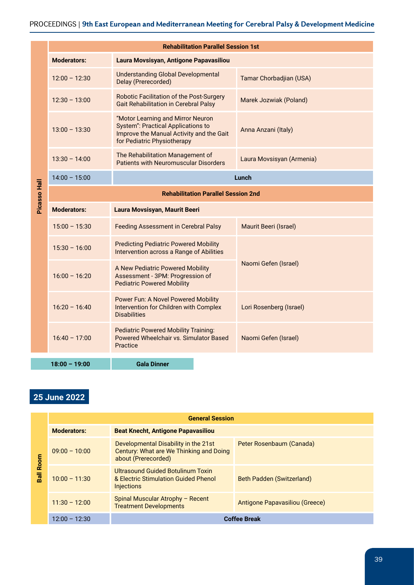|              |                                            | <b>Rehabilitation Parallel Session 1st</b>                                                                                                                |                           |  |  |
|--------------|--------------------------------------------|-----------------------------------------------------------------------------------------------------------------------------------------------------------|---------------------------|--|--|
|              | <b>Moderators:</b>                         | Laura Movsisyan, Antigone Papavasiliou                                                                                                                    |                           |  |  |
|              | $12:00 - 12:30$                            | <b>Understanding Global Developmental</b><br>Delay (Prerecorded)                                                                                          | Tamar Chorbadjian (USA)   |  |  |
|              | $12:30 - 13:00$                            | Robotic Facilitation of the Post-Surgery<br><b>Gait Rehabilitation in Cerebral Palsy</b>                                                                  | Marek Jozwiak (Poland)    |  |  |
|              | $13:00 - 13:30$                            | "Motor Learning and Mirror Neuron<br><b>System": Practical Applications to</b><br>Improve the Manual Activity and the Gait<br>for Pediatric Physiotherapy | Anna Anzani (Italy)       |  |  |
|              | $13:30 - 14:00$                            | The Rehabilitation Management of<br><b>Patients with Neuromuscular Disorders</b>                                                                          | Laura Movsisyan (Armenia) |  |  |
|              | $14:00 - 15:00$                            | Lunch                                                                                                                                                     |                           |  |  |
| Picasso Hall | <b>Rehabilitation Parallel Session 2nd</b> |                                                                                                                                                           |                           |  |  |
|              | <b>Moderators:</b>                         | Laura Movsisyan, Maurit Beeri                                                                                                                             |                           |  |  |
|              | $15:00 - 15:30$                            | <b>Feeding Assessment in Cerebral Palsy</b>                                                                                                               | Maurit Beeri (Israel)     |  |  |
|              | $15:30 - 16:00$                            | <b>Predicting Pediatric Powered Mobility</b><br>Intervention across a Range of Abilities                                                                  |                           |  |  |
|              | $16:00 - 16:20$                            | A New Pediatric Powered Mobility<br>Assessment - 3PM: Progression of<br><b>Pediatric Powered Mobility</b>                                                 | Naomi Gefen (Israel)      |  |  |
|              | $16:20 - 16:40$                            | Power Fun: A Novel Powered Mobility<br>Intervention for Children with Complex<br><b>Disabilities</b>                                                      | Lori Rosenberg (Israel)   |  |  |
|              | $16:40 - 17:00$                            | <b>Pediatric Powered Mobility Training:</b><br>Powered Wheelchair vs. Simulator Based<br>Practice                                                         | Naomi Gefen (Israel)      |  |  |
|              | $18:00 - 19:00$                            | <b>Gala Dinner</b>                                                                                                                                        |                           |  |  |

#### **25 June 2022**

| Room<br><b>Ball</b> | <b>General Session</b> |                                                                                                        |                                |
|---------------------|------------------------|--------------------------------------------------------------------------------------------------------|--------------------------------|
|                     | <b>Moderators:</b>     | <b>Beat Knecht, Antigone Papavasiliou</b>                                                              |                                |
|                     | $09:00 - 10:00$        | Developmental Disability in the 21st<br>Century: What are We Thinking and Doing<br>about (Prerecorded) | Peter Rosenbaum (Canada)       |
|                     | $10:00 - 11:30$        | Ultrasound Guided Botulinum Toxin<br>& Electric Stimulation Guided Phenol<br><b>Injections</b>         | Beth Padden (Switzerland)      |
|                     | $11:30 - 12:00$        | Spinal Muscular Atrophy - Recent<br><b>Treatment Developments</b>                                      | Antigone Papavasiliou (Greece) |
|                     | $12:00 - 12:30$        |                                                                                                        | <b>Coffee Break</b>            |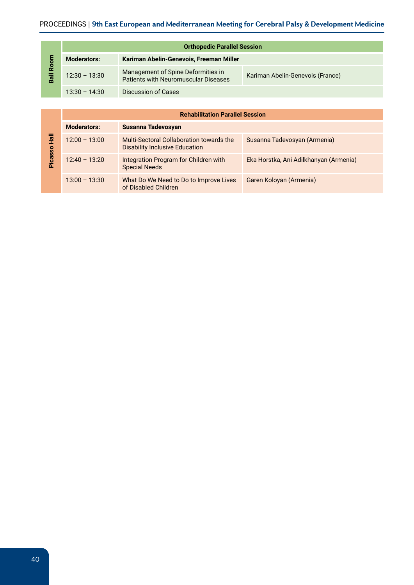| 등<br>ě<br>Ball | <b>Orthopedic Parallel Session</b> |                                                                                   |                                  |  |
|----------------|------------------------------------|-----------------------------------------------------------------------------------|----------------------------------|--|
|                | <b>Moderators:</b>                 | Kariman Abelin-Genevois, Freeman Miller                                           |                                  |  |
|                | $12:30 - 13:30$                    | Management of Spine Deformities in<br><b>Patients with Neuromuscular Diseases</b> | Kariman Abelin-Genevois (France) |  |
|                | $13:30 - 14:30$                    | Discussion of Cases                                                               |                                  |  |

|                | <b>Rehabilitation Parallel Session</b> |                                                                                   |                                        |
|----------------|----------------------------------------|-----------------------------------------------------------------------------------|----------------------------------------|
|                | <b>Moderators:</b>                     | Susanna Tadevosyan                                                                |                                        |
| 言              | $12:00 - 13:00$                        | Multi-Sectoral Collaboration towards the<br><b>Disability Inclusive Education</b> | Susanna Tadevosyan (Armenia)           |
| <b>Picasso</b> | $12:40 - 13:20$                        | Integration Program for Children with<br><b>Special Needs</b>                     | Eka Horstka, Ani Adilkhanyan (Armenia) |
|                | $13:00 - 13:30$                        | What Do We Need to Do to Improve Lives<br>of Disabled Children                    | Garen Koloyan (Armenia)                |